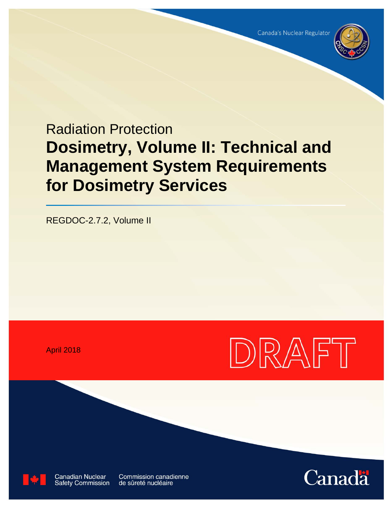

# Radiation Protection **Dosimetry, Volume II: Technical and Management System Requirements for Dosimetry Services**

REGDOC-2.7.2, Volume II

April 2018





**Canadian Nuclear Safety Commission** 

**Commission canadienne** de sûreté nucléaire

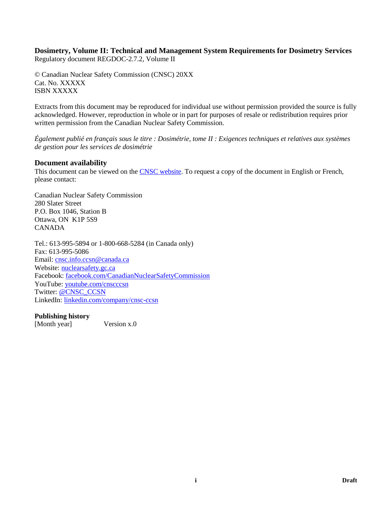#### **Dosimetry, Volume II: Technical and Management System Requirements for Dosimetry Services** Regulatory document REGDOC-2.7.2, Volume II

© Canadian Nuclear Safety Commission (CNSC) 20XX Cat. No. XXXXX ISBN XXXXX

Extracts from this document may be reproduced for individual use without permission provided the source is fully acknowledged. However, reproduction in whole or in part for purposes of resale or redistribution requires prior written permission from the Canadian Nuclear Safety Commission.

*Également publié en français sous le titre : Dosimétrie, tome II : Exigences techniques et relatives aux systèmes de gestion pour les services de dosimétrie*

### **Document availability**

This document can be viewed on the [CNSC website.](http://www.nuclearsafety.gc.ca/) To request a copy of the document in English or French, please contact:

Canadian Nuclear Safety Commission 280 Slater Street P.O. Box 1046, Station B Ottawa, ON K1P 5S9 CANADA

Tel.: 613-995-5894 or 1-800-668-5284 (in Canada only) Fax: 613-995-5086 Email: [cnsc.info.ccsn@canada.ca](mailto:cnsc.info.ccsn@canada.ca) Website: [nuclearsafety.gc.ca](http://www.nuclearsafety.gc.ca/) Facebook: [facebook.com/CanadianNuclearSafetyCommission](http://www.facebook.com/CanadianNuclearSafetyCommission) YouTube: [youtube.com/cnscccsn](http://www.youtube.com/cnscccsn) Twitter: [@CNSC\\_CCSN](https://twitter.com/CNSC_CCSN) LinkedIn: [linkedin.com/company/cnsc-ccsn](https://www.linkedin.com/company/cnsc-ccsn/)

**Publishing history**

[Month year] Version x.0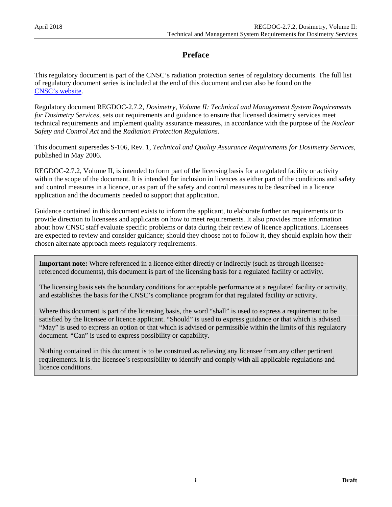# **Preface**

This regulatory document is part of the CNSC's radiation protection series of regulatory documents. The full list of regulatory document series is included at the end of this document and can also be found on the [CNSC's](http://www.nuclearsafety.gc.ca/eng/acts-and-regulations/regulatory-documents/index.cfm) website.

Regulatory document REGDOC-2.7.2, *Dosimetry, Volume II: Technical and Management System Requirements for Dosimetry Services,* sets out requirements and guidance to ensure that licensed dosimetry services meet technical requirements and implement quality assurance measures, in accordance with the purpose of the *Nuclear Safety and Control Act* and the *Radiation Protection Regulations*.

This document supersedes S-106, Rev. 1, *Technical and Quality Assurance Requirements for Dosimetry Services*, published in May 2006.

REGDOC-2.7.2, Volume II, is intended to form part of the licensing basis for a regulated facility or activity within the scope of the document. It is intended for inclusion in licences as either part of the conditions and safety and control measures in a licence, or as part of the safety and control measures to be described in a licence application and the documents needed to support that application.

Guidance contained in this document exists to inform the applicant, to elaborate further on requirements or to provide direction to licensees and applicants on how to meet requirements. It also provides more information about how CNSC staff evaluate specific problems or data during their review of licence applications. Licensees are expected to review and consider guidance; should they choose not to follow it, they should explain how their chosen alternate approach meets regulatory requirements.

**Important note:** Where referenced in a licence either directly or indirectly (such as through licenseereferenced documents), this document is part of the licensing basis for a regulated facility or activity.

The licensing basis sets the boundary conditions for acceptable performance at a regulated facility or activity, and establishes the basis for the CNSC's compliance program for that regulated facility or activity.

Where this document is part of the licensing basis, the word "shall" is used to express a requirement to be satisfied by the licensee or licence applicant. "Should" is used to express guidance or that which is advised. "May" is used to express an option or that which is advised or permissible within the limits of this regulatory document. "Can" is used to express possibility or capability.

Nothing contained in this document is to be construed as relieving any licensee from any other pertinent requirements. It is the licensee's responsibility to identify and comply with all applicable regulations and licence conditions.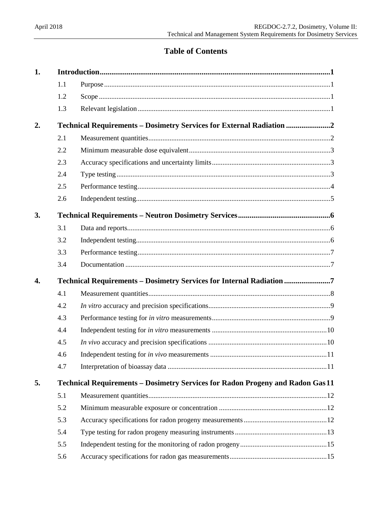# **Table of Contents**

| 1. |     |                                                                                |  |  |
|----|-----|--------------------------------------------------------------------------------|--|--|
|    | 1.1 |                                                                                |  |  |
|    | 1.2 |                                                                                |  |  |
|    | 1.3 |                                                                                |  |  |
| 2. |     | Technical Requirements - Dosimetry Services for External Radiation             |  |  |
|    | 2.1 |                                                                                |  |  |
|    | 2.2 |                                                                                |  |  |
|    | 2.3 |                                                                                |  |  |
|    | 2.4 |                                                                                |  |  |
|    | 2.5 |                                                                                |  |  |
|    | 2.6 |                                                                                |  |  |
| 3. |     |                                                                                |  |  |
|    | 3.1 |                                                                                |  |  |
|    | 3.2 |                                                                                |  |  |
|    | 3.3 |                                                                                |  |  |
|    | 3.4 |                                                                                |  |  |
| 4. |     | Technical Requirements - Dosimetry Services for Internal Radiation 7           |  |  |
|    | 4.1 |                                                                                |  |  |
|    | 4.2 |                                                                                |  |  |
|    | 4.3 |                                                                                |  |  |
|    | 4.4 |                                                                                |  |  |
|    | 4.5 |                                                                                |  |  |
|    | 4.6 |                                                                                |  |  |
|    | 4.7 |                                                                                |  |  |
| 5. |     | Technical Requirements - Dosimetry Services for Radon Progeny and Radon Gas 11 |  |  |
|    | 5.1 |                                                                                |  |  |
|    | 5.2 |                                                                                |  |  |
|    | 5.3 |                                                                                |  |  |
|    | 5.4 |                                                                                |  |  |
|    | 5.5 |                                                                                |  |  |
|    | 5.6 |                                                                                |  |  |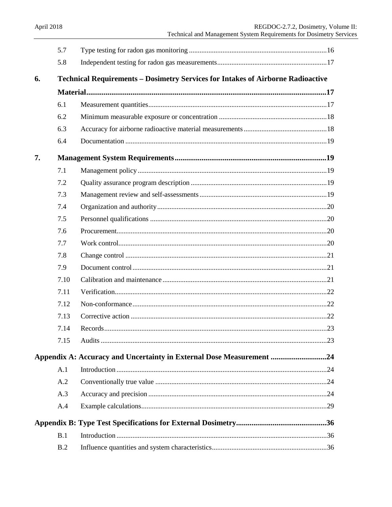|    | 5.7  |                                                                                        |  |
|----|------|----------------------------------------------------------------------------------------|--|
|    | 5.8  |                                                                                        |  |
| 6. |      | <b>Technical Requirements - Dosimetry Services for Intakes of Airborne Radioactive</b> |  |
|    |      |                                                                                        |  |
|    | 6.1  |                                                                                        |  |
|    | 6.2  |                                                                                        |  |
|    | 6.3  |                                                                                        |  |
|    | 6.4  |                                                                                        |  |
| 7. |      |                                                                                        |  |
|    | 7.1  |                                                                                        |  |
|    | 7.2  |                                                                                        |  |
|    | 7.3  |                                                                                        |  |
|    | 7.4  |                                                                                        |  |
|    | 7.5  |                                                                                        |  |
|    | 7.6  |                                                                                        |  |
|    | 7.7  |                                                                                        |  |
|    | 7.8  |                                                                                        |  |
|    | 7.9  |                                                                                        |  |
|    | 7.10 |                                                                                        |  |
|    | 7.11 |                                                                                        |  |
|    | 7.12 |                                                                                        |  |
|    | 7.13 |                                                                                        |  |
|    | 7.14 |                                                                                        |  |
|    | 7.15 |                                                                                        |  |
|    |      | Appendix A: Accuracy and Uncertainty in External Dose Measurement 24                   |  |
|    | A.1  |                                                                                        |  |
|    | A.2  |                                                                                        |  |
|    | A.3  |                                                                                        |  |
|    | A.4  |                                                                                        |  |
|    |      |                                                                                        |  |
|    | B.1  |                                                                                        |  |
|    | B.2  |                                                                                        |  |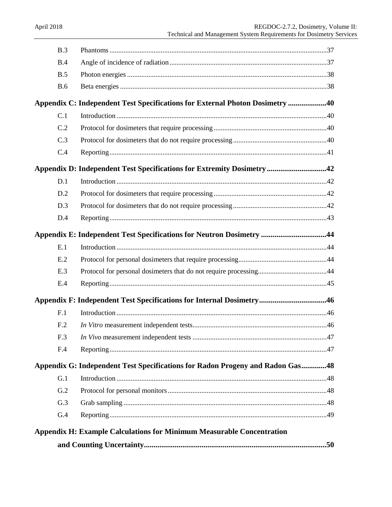| B.3             |                                                                               |  |
|-----------------|-------------------------------------------------------------------------------|--|
| B.4             |                                                                               |  |
| B.5             |                                                                               |  |
| <b>B.6</b>      |                                                                               |  |
|                 | Appendix C: Independent Test Specifications for External Photon Dosimetry 40  |  |
| C.1             |                                                                               |  |
| C.2             |                                                                               |  |
| C.3             |                                                                               |  |
| C.4             |                                                                               |  |
|                 | Appendix D: Independent Test Specifications for Extremity Dosimetry42         |  |
| D.1             |                                                                               |  |
| D.2             |                                                                               |  |
| D.3             |                                                                               |  |
| D.4             |                                                                               |  |
|                 | Appendix E: Independent Test Specifications for Neutron Dosimetry 44          |  |
| E.1             |                                                                               |  |
| E.2             |                                                                               |  |
| E.3             |                                                                               |  |
| E.4             |                                                                               |  |
|                 | Appendix F: Independent Test Specifications for Internal Dosimetry46          |  |
| F.1             |                                                                               |  |
| F <sub>.2</sub> |                                                                               |  |
| F.3             |                                                                               |  |
| F.4             |                                                                               |  |
|                 | Appendix G: Independent Test Specifications for Radon Progeny and Radon Gas48 |  |
| G.1             |                                                                               |  |
| G.2             |                                                                               |  |
| G.3             |                                                                               |  |
| G.4             |                                                                               |  |
|                 | <b>Appendix H: Example Calculations for Minimum Measurable Concentration</b>  |  |
|                 |                                                                               |  |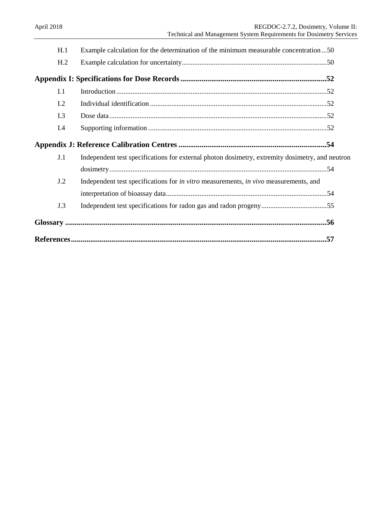| H.1 | Example calculation for the determination of the minimum measurable concentration50                |  |
|-----|----------------------------------------------------------------------------------------------------|--|
| H.2 |                                                                                                    |  |
|     |                                                                                                    |  |
| I.1 |                                                                                                    |  |
| I.2 |                                                                                                    |  |
| I.3 |                                                                                                    |  |
| I.4 |                                                                                                    |  |
|     |                                                                                                    |  |
| J.1 | Independent test specifications for external photon dosimetry, extremity dosimetry, and neutron    |  |
|     |                                                                                                    |  |
| J.2 | Independent test specifications for <i>in vitro</i> measurements, <i>in vivo</i> measurements, and |  |
|     |                                                                                                    |  |
| J.3 |                                                                                                    |  |
|     |                                                                                                    |  |
|     |                                                                                                    |  |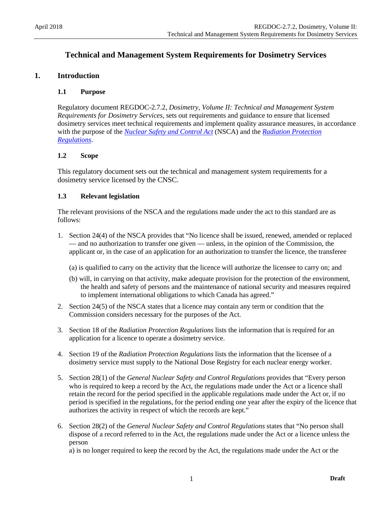# **Technical and Management System Requirements for Dosimetry Services**

### <span id="page-7-1"></span><span id="page-7-0"></span>**1. Introduction**

#### **1.1 Purpose**

Regulatory document REGDOC-2.7.2, *Dosimetry, Volume II: Technical and Management System Requirements for Dosimetry Services*, sets out requirements and guidance to ensure that licensed dosimetry services meet technical requirements and implement quality assurance measures, in accordance with the purpose of the *[Nuclear Safety and Control Act](http://laws-lois.justice.gc.ca/eng/acts/N-28.3/index.html)* (NSCA) and the *[Radiation Protection](http://laws.justice.gc.ca/eng/regulations/sor-2000-203/page-1.html)  [Regulations](http://laws.justice.gc.ca/eng/regulations/sor-2000-203/page-1.html)*.

#### <span id="page-7-2"></span>**1.2 Scope**

This regulatory document sets out the technical and management system requirements for a dosimetry service licensed by the CNSC.

### <span id="page-7-3"></span>**1.3 Relevant legislation**

The relevant provisions of the NSCA and the regulations made under the act to this standard are as follows:

- 1. Section 24(4) of the NSCA provides that "No licence shall be issued, renewed, amended or replaced — and no authorization to transfer one given — unless, in the opinion of the Commission, the applicant or, in the case of an application for an authorization to transfer the licence, the transferee
	- (a) is qualified to carry on the activity that the licence will authorize the licensee to carry on; and
	- (b) will, in carrying on that activity, make adequate provision for the protection of the environment, the health and safety of persons and the maintenance of national security and measures required to implement international obligations to which Canada has agreed."
- 2. Section 24(5) of the NSCA states that a licence may contain any term or condition that the Commission considers necessary for the purposes of the Act.
- 3. Section 18 of the *Radiation Protection Regulations* lists the information that is required for an application for a licence to operate a dosimetry service.
- 4. Section 19 of the *Radiation Protection Regulations* lists the information that the licensee of a dosimetry service must supply to the National Dose Registry for each nuclear energy worker.
- 5. Section 28(1) of the *General Nuclear Safety and Control Regulations* provides that "Every person who is required to keep a record by the Act, the regulations made under the Act or a licence shall retain the record for the period specified in the applicable regulations made under the Act or, if no period is specified in the regulations, for the period ending one year after the expiry of the licence that authorizes the activity in respect of which the records are kept."
- 6. Section 28(2) of the *General Nuclear Safety and Control Regulations* states that "No person shall dispose of a record referred to in the Act, the regulations made under the Act or a licence unless the person

a) is no longer required to keep the record by the Act, the regulations made under the Act or the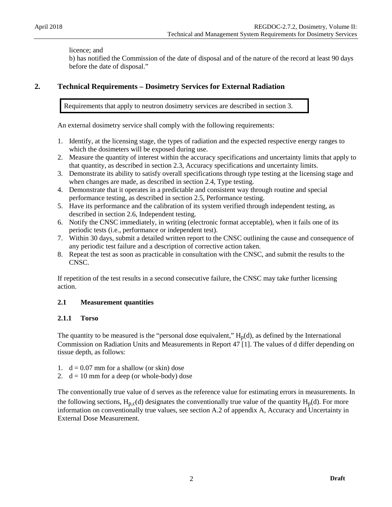#### licence; and

b) has notified the Commission of the date of disposal and of the nature of the record at least 90 days before the date of disposal."

### <span id="page-8-0"></span>**2. Technical Requirements – Dosimetry Services for External Radiation**

Requirements that apply to neutron dosimetry services are described in section 3.

An external dosimetry service shall comply with the following requirements:

- 1. Identify, at the licensing stage, the types of radiation and the expected respective energy ranges to which the dosimeters will be exposed during use.
- 2. Measure the quantity of interest within the accuracy specifications and uncertainty limits that apply to that quantity, as described in section 2.3, Accuracy specifications and uncertainty limits.
- 3. Demonstrate its ability to satisfy overall specifications through type testing at the licensing stage and when changes are made, as described in section 2.4, Type testing.
- 4. Demonstrate that it operates in a predictable and consistent way through routine and special performance testing, as described in section 2.5, Performance testing.
- 5. Have its performance and the calibration of its system verified through independent testing, as described in section 2.6, Independent testing.
- 6. Notify the CNSC immediately, in writing (electronic format acceptable), when it fails one of its periodic tests (i.e., performance or independent test).
- 7. Within 30 days, submit a detailed written report to the CNSC outlining the cause and consequence of any periodic test failure and a description of corrective action taken.
- 8. Repeat the test as soon as practicable in consultation with the CNSC, and submit the results to the CNSC.

If repetition of the test results in a second consecutive failure, the CNSC may take further licensing action.

### <span id="page-8-1"></span>**2.1 Measurement quantities**

### **2.1.1 Torso**

The quantity to be measured is the "personal dose equivalent,"  $H_p(d)$ , as defined by the International Commission on Radiation Units and Measurements in Report 47 [1]. The values of d differ depending on tissue depth, as follows:

- 1.  $d = 0.07$  mm for a shallow (or skin) dose
- 2.  $d = 10$  mm for a deep (or whole-body) dose

The conventionally true value of d serves as the reference value for estimating errors in measurements. In the following sections,  $H_{n,c}(d)$  designates the conventionally true value of the quantity  $H_n(d)$ . For more information on conventionally true values, see section A.2 of appendix A, Accuracy and Uncertainty in External Dose Measurement.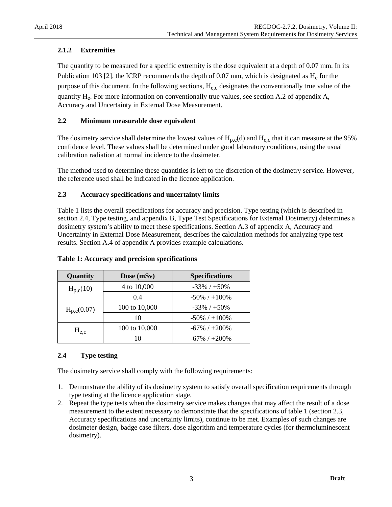### **2.1.2 Extremities**

The quantity to be measured for a specific extremity is the dose equivalent at a depth of 0.07 mm. In its Publication 103 [2], the ICRP recommends the depth of 0.07 mm, which is designated as  $H_e$  for the purpose of this document. In the following sections,  $H_{e,c}$  designates the conventionally true value of the quantity  $H_e$ . For more information on conventionally true values, see section A.2 of appendix A, Accuracy and Uncertainty in External Dose Measurement.

### <span id="page-9-0"></span>**2.2 Minimum measurable dose equivalent**

The dosimetry service shall determine the lowest values of  $H_{p,c}(d)$  and  $H_{e,c}$  that it can measure at the 95% confidence level. These values shall be determined under good laboratory conditions, using the usual calibration radiation at normal incidence to the dosimeter.

The method used to determine these quantities is left to the discretion of the dosimetry service. However, the reference used shall be indicated in the licence application.

### <span id="page-9-1"></span>**2.3 Accuracy specifications and uncertainty limits**

Table 1 lists the overall specifications for accuracy and precision. Type testing (which is described in section 2.4, Type testing, and appendix B, Type Test Specifications for External Dosimetry) determines a dosimetry system's ability to meet these specifications. Section A.3 of appendix A, Accuracy and Uncertainty in External Dose Measurement, describes the calculation methods for analyzing type test results. Section A.4 of appendix A provides example calculations.

| Quantity        | Dose (mSv)    | <b>Specifications</b> |
|-----------------|---------------|-----------------------|
| $H_{p,c}(10)$   | 4 to 10,000   | $-33\%$ / $+50\%$     |
|                 | 0.4           | $-50\%$ / $+100\%$    |
| $H_{p,c}(0.07)$ | 100 to 10,000 | $-33\%$ / $+50\%$     |
|                 | 10            | $-50\%$ / $+100\%$    |
| $H_{e.c}$       | 100 to 10,000 | $-67\%$ / $+200\%$    |
|                 |               | $-67\%$ / $+200\%$    |

#### **Table 1: Accuracy and precision specifications**

### <span id="page-9-2"></span>**2.4 Type testing**

The dosimetry service shall comply with the following requirements:

- 1. Demonstrate the ability of its dosimetry system to satisfy overall specification requirements through type testing at the licence application stage.
- 2. Repeat the type tests when the dosimetry service makes changes that may affect the result of a dose measurement to the extent necessary to demonstrate that the specifications of table 1 (section 2.3, Accuracy specifications and uncertainty limits), continue to be met. Examples of such changes are dosimeter design, badge case filters, dose algorithm and temperature cycles (for thermoluminescent dosimetry).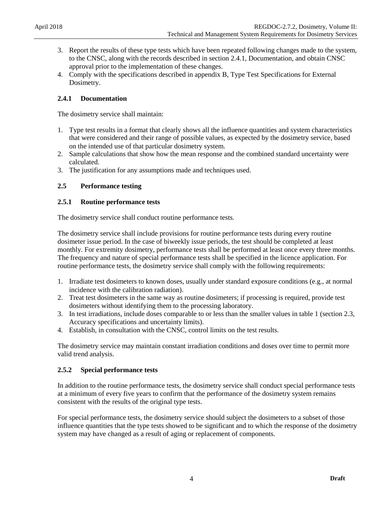- 3. Report the results of these type tests which have been repeated following changes made to the system, to the CNSC, along with the records described in section 2.4.1, Documentation, and obtain CNSC approval prior to the implementation of these changes.
- 4. Comply with the specifications described in appendix B, Type Test Specifications for External Dosimetry.

### **2.4.1 Documentation**

The dosimetry service shall maintain:

- 1. Type test results in a format that clearly shows all the influence quantities and system characteristics that were considered and their range of possible values, as expected by the dosimetry service, based on the intended use of that particular dosimetry system.
- 2. Sample calculations that show how the mean response and the combined standard uncertainty were calculated.
- 3. The justification for any assumptions made and techniques used.

### <span id="page-10-0"></span>**2.5 Performance testing**

### **2.5.1 Routine performance tests**

The dosimetry service shall conduct routine performance tests.

The dosimetry service shall include provisions for routine performance tests during every routine dosimeter issue period. In the case of biweekly issue periods, the test should be completed at least monthly. For extremity dosimetry, performance tests shall be performed at least once every three months. The frequency and nature of special performance tests shall be specified in the licence application. For routine performance tests, the dosimetry service shall comply with the following requirements:

- 1. Irradiate test dosimeters to known doses, usually under standard exposure conditions (e.g., at normal incidence with the calibration radiation).
- 2. Treat test dosimeters in the same way as routine dosimeters; if processing is required, provide test dosimeters without identifying them to the processing laboratory.
- 3. In test irradiations, include doses comparable to or less than the smaller values in table 1 (section 2.3, Accuracy specifications and uncertainty limits).
- 4. Establish, in consultation with the CNSC, control limits on the test results.

The dosimetry service may maintain constant irradiation conditions and doses over time to permit more valid trend analysis.

### **2.5.2 Special performance tests**

In addition to the routine performance tests, the dosimetry service shall conduct special performance tests at a minimum of every five years to confirm that the performance of the dosimetry system remains consistent with the results of the original type tests.

For special performance tests, the dosimetry service should subject the dosimeters to a subset of those influence quantities that the type tests showed to be significant and to which the response of the dosimetry system may have changed as a result of aging or replacement of components.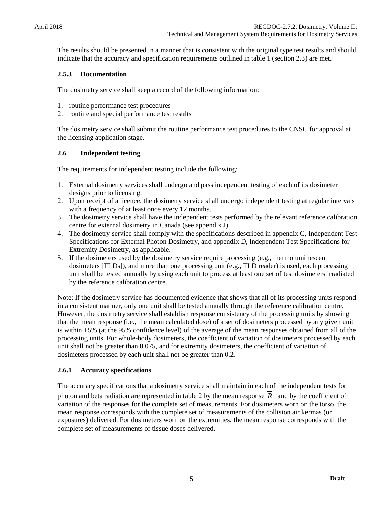The results should be presented in a manner that is consistent with the original type test results and should indicate that the accuracy and specification requirements outlined in table 1 (section 2.3) are met.

### **2.5.3 Documentation**

The dosimetry service shall keep a record of the following information:

- 1. routine performance test procedures
- 2. routine and special performance test results

The dosimetry service shall submit the routine performance test procedures to the CNSC for approval at the licensing application stage.

### <span id="page-11-0"></span>**2.6 Independent testing**

The requirements for independent testing include the following:

- 1. External dosimetry services shall undergo and pass independent testing of each of its dosimeter designs prior to licensing.
- 2. Upon receipt of a licence, the dosimetry service shall undergo independent testing at regular intervals with a frequency of at least once every 12 months.
- 3. The dosimetry service shall have the independent tests performed by the relevant reference calibration centre for external dosimetry in Canada (see appendix J).
- 4. The dosimetry service shall comply with the specifications described in appendix C, Independent Test Specifications for External Photon Dosimetry, and appendix D, Independent Test Specifications for Extremity Dosimetry, as applicable.
- 5. If the dosimeters used by the dosimetry service require processing (e.g., thermoluminescent dosimeters [TLDs]), and more than one processing unit (e.g., TLD reader) is used, each processing unit shall be tested annually by using each unit to process at least one set of test dosimeters irradiated by the reference calibration centre.

Note: If the dosimetry service has documented evidence that shows that all of its processing units respond in a consistent manner, only one unit shall be tested annually through the reference calibration centre. However, the dosimetry service shall establish response consistency of the processing units by showing that the mean response (i.e., the mean calculated dose) of a set of dosimeters processed by any given unit is within ±5% (at the 95% confidence level) of the average of the mean responses obtained from all of the processing units. For whole-body dosimeters, the coefficient of variation of dosimeters processed by each unit shall not be greater than 0.075, and for extremity dosimeters, the coefficient of variation of dosimeters processed by each unit shall not be greater than 0.2.

### **2.6.1 Accuracy specifications**

The accuracy specifications that a dosimetry service shall maintain in each of the independent tests for photon and beta radiation are represented in table 2 by the mean response *R* and by the coefficient of variation of the responses for the complete set of measurements. For dosimeters worn on the torso, the mean response corresponds with the complete set of measurements of the collision air kermas (or exposures) delivered. For dosimeters worn on the extremities, the mean response corresponds with the complete set of measurements of tissue doses delivered.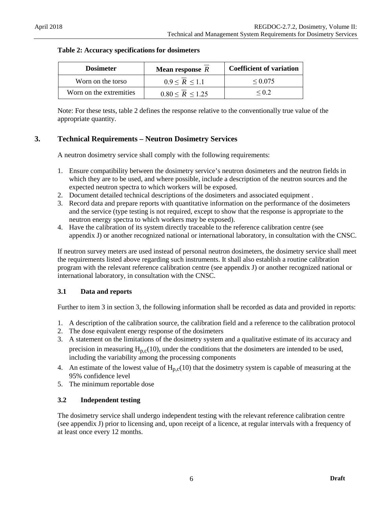| <b>Dosimeter</b>        | Mean response $R$     | <b>Coefficient of variation</b> |
|-------------------------|-----------------------|---------------------------------|
| Worn on the torso       | $0.9 \le R \le 1.1$   | $\leq 0.075$                    |
| Worn on the extremities | $0.80 \le R \le 1.25$ | $\leq$ () 2                     |

### **Table 2: Accuracy specifications for dosimeters**

Note: For these tests, table 2 defines the response relative to the conventionally true value of the appropriate quantity.

### <span id="page-12-0"></span>**3. Technical Requirements – Neutron Dosimetry Services**

A neutron dosimetry service shall comply with the following requirements:

- 1. Ensure compatibility between the dosimetry service's neutron dosimeters and the neutron fields in which they are to be used, and where possible, include a description of the neutron sources and the expected neutron spectra to which workers will be exposed.
- 2. Document detailed technical descriptions of the dosimeters and associated equipment .
- 3. Record data and prepare reports with quantitative information on the performance of the dosimeters and the service (type testing is not required, except to show that the response is appropriate to the neutron energy spectra to which workers may be exposed).
- 4. Have the calibration of its system directly traceable to the reference calibration centre (see appendix J) or another recognized national or international laboratory, in consultation with the CNSC.

If neutron survey meters are used instead of personal neutron dosimeters, the dosimetry service shall meet the requirements listed above regarding such instruments. It shall also establish a routine calibration program with the relevant reference calibration centre (see appendix J) or another recognized national or international laboratory, in consultation with the CNSC.

### <span id="page-12-1"></span>**3.1 Data and reports**

Further to item 3 in section 3, the following information shall be recorded as data and provided in reports:

- 1. A description of the calibration source, the calibration field and a reference to the calibration protocol
- 2. The dose equivalent energy response of the dosimeters
- 3. A statement on the limitations of the dosimetry system and a qualitative estimate of its accuracy and precision in measuring  $H_{p,c}(10)$ , under the conditions that the dosimeters are intended to be used, including the variability among the processing components
- 4. An estimate of the lowest value of  $H_{p,c}(10)$  that the dosimetry system is capable of measuring at the 95% confidence level
- 5. The minimum reportable dose

### <span id="page-12-2"></span>**3.2 Independent testing**

The dosimetry service shall undergo independent testing with the relevant reference calibration centre (see appendix J) prior to licensing and, upon receipt of a licence, at regular intervals with a frequency of at least once every 12 months.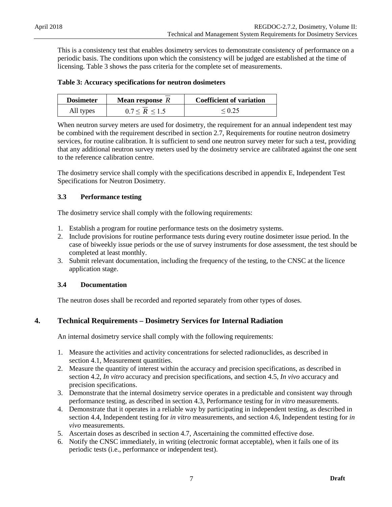This is a consistency test that enables dosimetry services to demonstrate consistency of performance on a periodic basis. The conditions upon which the consistency will be judged are established at the time of licensing. Table 3 shows the pass criteria for the complete set of measurements.

### **Table 3: Accuracy specifications for neutron dosimeters**

| <b>Dosimeter</b> | <b>Mean response</b> R | <b>Coefficient of variation</b> |
|------------------|------------------------|---------------------------------|
| All types        | $0.7 \le R \le 1.5$    | $\leq 0.25$                     |

When neutron survey meters are used for dosimetry, the requirement for an annual independent test may be combined with the requirement described in section 2.7, Requirements for routine neutron dosimetry services, for routine calibration. It is sufficient to send one neutron survey meter for such a test, providing that any additional neutron survey meters used by the dosimetry service are calibrated against the one sent to the reference calibration centre.

The dosimetry service shall comply with the specifications described in appendix E, Independent Test Specifications for Neutron Dosimetry.

### <span id="page-13-0"></span>**3.3 Performance testing**

The dosimetry service shall comply with the following requirements:

- 1. Establish a program for routine performance tests on the dosimetry systems.
- 2. Include provisions for routine performance tests during every routine dosimeter issue period. In the case of biweekly issue periods or the use of survey instruments for dose assessment, the test should be completed at least monthly.
- 3. Submit relevant documentation, including the frequency of the testing, to the CNSC at the licence application stage.

### <span id="page-13-1"></span>**3.4 Documentation**

The neutron doses shall be recorded and reported separately from other types of doses.

### <span id="page-13-2"></span>**4. Technical Requirements – Dosimetry Services for Internal Radiation**

An internal dosimetry service shall comply with the following requirements:

- 1. Measure the activities and activity concentrations for selected radionuclides, as described in section 4.1, Measurement quantities.
- 2. Measure the quantity of interest within the accuracy and precision specifications, as described in section 4.2, *In vitro* accuracy and precision specifications, and section 4.5, *In vivo* accuracy and precision specifications.
- 3. Demonstrate that the internal dosimetry service operates in a predictable and consistent way through performance testing, as described in section 4.3, Performance testing for *in vitro* measurements.
- 4. Demonstrate that it operates in a reliable way by participating in independent testing, as described in section 4.4, Independent testing for *in vitro* measurements, and section 4.6, Independent testing for *in vivo* measurements.
- 5. Ascertain doses as described in section 4.7, Ascertaining the committed effective dose.
- 6. Notify the CNSC immediately, in writing (electronic format acceptable), when it fails one of its periodic tests (i.e., performance or independent test).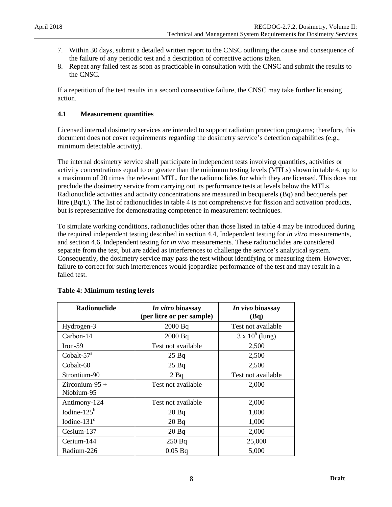- 7. Within 30 days, submit a detailed written report to the CNSC outlining the cause and consequence of the failure of any periodic test and a description of corrective actions taken.
- 8. Repeat any failed test as soon as practicable in consultation with the CNSC and submit the results to the CNSC.

If a repetition of the test results in a second consecutive failure, the CNSC may take further licensing action.

### <span id="page-14-0"></span>**4.1 Measurement quantities**

Licensed internal dosimetry services are intended to support radiation protection programs; therefore, this document does not cover requirements regarding the dosimetry service's detection capabilities (e.g., minimum detectable activity).

The internal dosimetry service shall participate in independent tests involving quantities, activities or activity concentrations equal to or greater than the minimum testing levels (MTLs) shown in table 4, up to a maximum of 20 times the relevant MTL, for the radionuclides for which they are licensed. This does not preclude the dosimetry service from carrying out its performance tests at levels below the MTLs. Radionuclide activities and activity concentrations are measured in becquerels (Bq) and becquerels per litre (Bq/L). The list of radionuclides in table 4 is not comprehensive for fission and activation products, but is representative for demonstrating competence in measurement techniques.

To simulate working conditions, radionuclides other than those listed in table 4 may be introduced during the required independent testing described in section 4.4, Independent testing for *in vitro* measurements, and section 4.6, Independent testing for *in vivo* measurements. These radionuclides are considered separate from the test, but are added as interferences to challenge the service's analytical system. Consequently, the dosimetry service may pass the test without identifying or measuring them. However, failure to correct for such interferences would jeopardize performance of the test and may result in a failed test.

| Radionuclide                 | In vitro bioassay<br>(per litre or per sample) | In vivo bioassay<br>(Bq) |
|------------------------------|------------------------------------------------|--------------------------|
| Hydrogen-3                   | 2000 Bq                                        | Test not available       |
| Carbon-14                    | $2000$ Bq                                      | $3 \times 10^5$ (lung)   |
| $Iron-59$                    | Test not available                             | 2,500                    |
| Cobalt- $57a$                | 25 Bq                                          | 2,500                    |
| Cobalt-60                    | 25 Bq                                          | 2,500                    |
| Strontium-90                 | $2$ Bq                                         | Test not available       |
| Zirconium-95 +<br>Niobium-95 | Test not available                             | 2,000                    |
| Antimony-124                 | Test not available                             | 2,000                    |
| Iodine- $125b$               | 20Bq                                           | 1,000                    |
| Iodine- $131^{\circ}$        | 20Bq                                           | 1,000                    |
| Cesium-137                   | 20Bq                                           | 2,000                    |
| Cerium-144                   | 250 Bq                                         | 25,000                   |
| Radium-226                   | $0.05$ Bq                                      | 5,000                    |

### **Table 4: Minimum testing levels**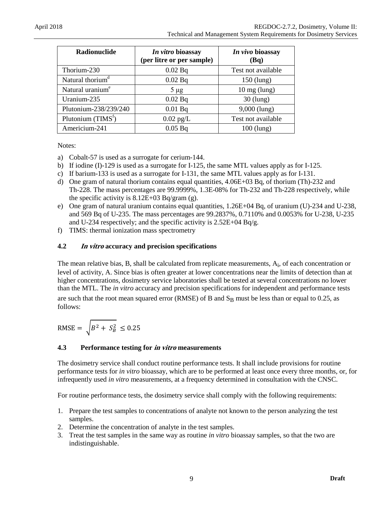| Radionuclide                 | In vitro bioassay<br>(per litre or per sample) | In vivo bioassay<br>(Bq) |
|------------------------------|------------------------------------------------|--------------------------|
| Thorium-230                  | 0.02 Bq                                        | Test not available       |
| Natural thorium <sup>d</sup> | 0.02 Bq                                        | $150$ (lung)             |
| Natural uranium <sup>e</sup> | $5 \mu g$                                      | $10 \text{ mg (lung)}$   |
| Uranium-235                  | 0.02 Bq                                        | $30$ (lung)              |
| Plutonium-238/239/240        | 0.01 Bq                                        | $9,000$ (lung)           |
| Plutonium $(TIMS^f)$         | $0.02$ pg/L                                    | Test not available       |
| Americium-241                | 0.05 Bq                                        | $100$ (lung)             |

Notes:

- a) Cobalt-57 is used as a surrogate for cerium-144.
- b) If iodine (I)-129 is used as a surrogate for I-125, the same MTL values apply as for I-125.
- c) If barium-133 is used as a surrogate for I-131, the same MTL values apply as for I-131.
- d) One gram of natural thorium contains equal quantities, 4.06E+03 Bq, of thorium (Th)-232 and Th-228. The mass percentages are 99.9999%, 1.3E-08% for Th-232 and Th-228 respectively, while the specific activity is  $8.12E+03 Bq/gram$  (g).
- e) One gram of natural uranium contains equal quantities, 1.26E+04 Bq, of uranium (U)-234 and U-238, and 569 Bq of U-235. The mass percentages are 99.2837%, 0.7110% and 0.0053% for U-238, U-235 and U-234 respectively; and the specific activity is 2.52E+04 Bq/g.
- f) TIMS: thermal ionization mass spectrometry

### <span id="page-15-0"></span>**4.2 In vitro accuracy and precision specifications**

The mean relative bias, B, shall be calculated from replicate measurements,  $A_i$ , of each concentration or level of activity, A. Since bias is often greater at lower concentrations near the limits of detection than at higher concentrations, dosimetry service laboratories shall be tested at several concentrations no lower than the MTL. The *in vitro* accuracy and precision specifications for independent and performance tests are such that the root mean squared error (RMSE) of B and  $S_B$  must be less than or equal to 0.25, as follows:

$$
RMSE = \sqrt{B^2 + S_B^2} \le 0.25
$$

#### <span id="page-15-1"></span>**4.3 Performance testing for in vitro measurements**

The dosimetry service shall conduct routine performance tests. It shall include provisions for routine performance tests for *in vitro* bioassay, which are to be performed at least once every three months, or, for infrequently used *in vitro* measurements, at a frequency determined in consultation with the CNSC.

For routine performance tests, the dosimetry service shall comply with the following requirements:

- 1. Prepare the test samples to concentrations of analyte not known to the person analyzing the test samples.
- 2. Determine the concentration of analyte in the test samples.
- 3. Treat the test samples in the same way as routine *in vitro* bioassay samples, so that the two are indistinguishable.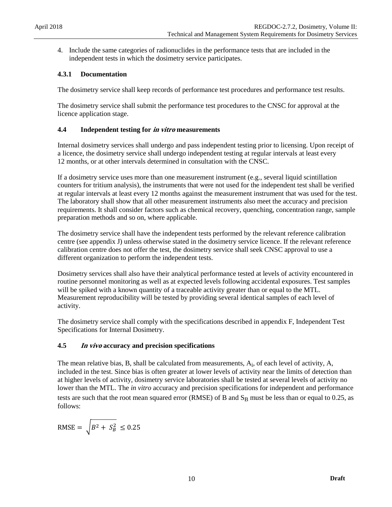4. Include the same categories of radionuclides in the performance tests that are included in the independent tests in which the dosimetry service participates.

### **4.3.1 Documentation**

The dosimetry service shall keep records of performance test procedures and performance test results.

The dosimetry service shall submit the performance test procedures to the CNSC for approval at the licence application stage.

### <span id="page-16-0"></span>**4.4 Independent testing for in vitro measurements**

Internal dosimetry services shall undergo and pass independent testing prior to licensing. Upon receipt of a licence, the dosimetry service shall undergo independent testing at regular intervals at least every 12 months, or at other intervals determined in consultation with the CNSC.

If a dosimetry service uses more than one measurement instrument (e.g., several liquid scintillation counters for tritium analysis), the instruments that were not used for the independent test shall be verified at regular intervals at least every 12 months against the measurement instrument that was used for the test. The laboratory shall show that all other measurement instruments also meet the accuracy and precision requirements. It shall consider factors such as chemical recovery, quenching, concentration range, sample preparation methods and so on, where applicable.

The dosimetry service shall have the independent tests performed by the relevant reference calibration centre (see appendix J) unless otherwise stated in the dosimetry service licence. If the relevant reference calibration centre does not offer the test, the dosimetry service shall seek CNSC approval to use a different organization to perform the independent tests.

Dosimetry services shall also have their analytical performance tested at levels of activity encountered in routine personnel monitoring as well as at expected levels following accidental exposures. Test samples will be spiked with a known quantity of a traceable activity greater than or equal to the MTL. Measurement reproducibility will be tested by providing several identical samples of each level of activity.

The dosimetry service shall comply with the specifications described in appendix F, Independent Test Specifications for Internal Dosimetry.

### <span id="page-16-1"></span>**4.5 In vivo accuracy and precision specifications**

The mean relative bias, B, shall be calculated from measurements,  $A_i$ , of each level of activity,  $A_i$ , included in the test. Since bias is often greater at lower levels of activity near the limits of detection than at higher levels of activity, dosimetry service laboratories shall be tested at several levels of activity no lower than the MTL. The *in vitro* accuracy and precision specifications for independent and performance tests are such that the root mean squared error (RMSE) of B and  $S_B$  must be less than or equal to 0.25, as follows:

$$
\text{RMSE} = \sqrt{B^2 + S_B^2} \le 0.25
$$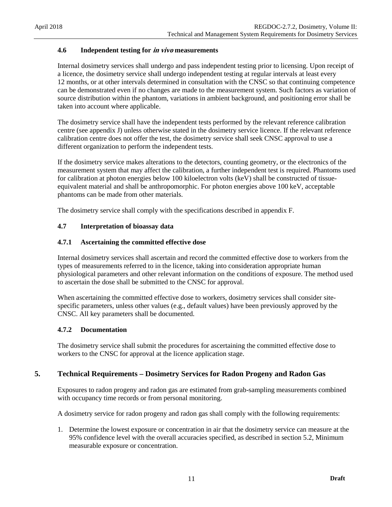### <span id="page-17-0"></span>**4.6 Independent testing for in vivo measurements**

Internal dosimetry services shall undergo and pass independent testing prior to licensing. Upon receipt of a licence, the dosimetry service shall undergo independent testing at regular intervals at least every 12 months, or at other intervals determined in consultation with the CNSC so that continuing competence can be demonstrated even if no changes are made to the measurement system. Such factors as variation of source distribution within the phantom, variations in ambient background, and positioning error shall be taken into account where applicable.

The dosimetry service shall have the independent tests performed by the relevant reference calibration centre (see appendix J) unless otherwise stated in the dosimetry service licence. If the relevant reference calibration centre does not offer the test, the dosimetry service shall seek CNSC approval to use a different organization to perform the independent tests.

If the dosimetry service makes alterations to the detectors, counting geometry, or the electronics of the measurement system that may affect the calibration, a further independent test is required. Phantoms used for calibration at photon energies below 100 kiloelectron volts (keV) shall be constructed of tissueequivalent material and shall be anthropomorphic. For photon energies above 100 keV, acceptable phantoms can be made from other materials.

The dosimetry service shall comply with the specifications described in appendix F.

#### <span id="page-17-1"></span>**4.7 Interpretation of bioassay data**

#### **4.7.1 Ascertaining the committed effective dose**

Internal dosimetry services shall ascertain and record the committed effective dose to workers from the types of measurements referred to in the licence, taking into consideration appropriate human physiological parameters and other relevant information on the conditions of exposure. The method used to ascertain the dose shall be submitted to the CNSC for approval.

When ascertaining the committed effective dose to workers, dosimetry services shall consider sitespecific parameters, unless other values (e.g., default values) have been previously approved by the CNSC. All key parameters shall be documented.

#### **4.7.2 Documentation**

The dosimetry service shall submit the procedures for ascertaining the committed effective dose to workers to the CNSC for approval at the licence application stage.

#### <span id="page-17-2"></span>**5. Technical Requirements – Dosimetry Services for Radon Progeny and Radon Gas**

Exposures to radon progeny and radon gas are estimated from grab-sampling measurements combined with occupancy time records or from personal monitoring.

A dosimetry service for radon progeny and radon gas shall comply with the following requirements:

1. Determine the lowest exposure or concentration in air that the dosimetry service can measure at the 95% confidence level with the overall accuracies specified, as described in section 5.2, Minimum measurable exposure or concentration.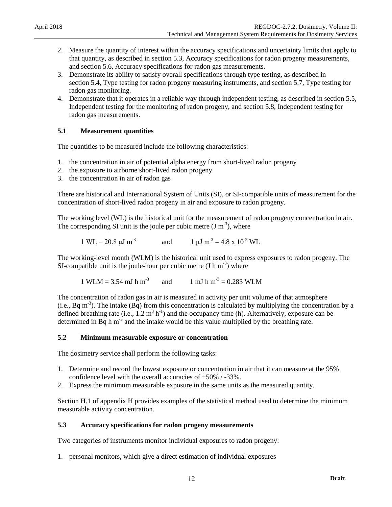- 2. Measure the quantity of interest within the accuracy specifications and uncertainty limits that apply to that quantity, as described in section 5.3, Accuracy specifications for radon progeny measurements, and section 5.6, Accuracy specifications for radon gas measurements.
- 3. Demonstrate its ability to satisfy overall specifications through type testing, as described in section 5.4, Type testing for radon progeny measuring instruments, and section 5.7, Type testing for radon gas monitoring.
- 4. Demonstrate that it operates in a reliable way through independent testing, as described in section 5.5, Independent testing for the monitoring of radon progeny, and section 5.8, Independent testing for radon gas measurements.

### <span id="page-18-0"></span>**5.1 Measurement quantities**

The quantities to be measured include the following characteristics:

- 1. the concentration in air of potential alpha energy from short-lived radon progeny
- 2. the exposure to airborne short-lived radon progeny
- 3. the concentration in air of radon gas

There are historical and International System of Units (SI), or SI-compatible units of measurement for the concentration of short-lived radon progeny in air and exposure to radon progeny.

The working level (WL) is the historical unit for the measurement of radon progeny concentration in air. The corresponding SI unit is the joule per cubic metre  $(J m^{-3})$ , where

$$
1 \text{ WL} = 20.8 \text{ }\mu\text{J m}^{-3}
$$
 and  $1 \text{ }\mu\text{J m}^{-3} = 4.8 \text{ x } 10^{-2} \text{ WL}$ 

The working-level month (WLM) is the historical unit used to express exposures to radon progeny. The SI-compatible unit is the joule-hour per cubic metre  $(J h m^{-3})$  where

1 WLM = 3.54 mJ h m<sup>-3</sup> and 1 mJ h m<sup>-3</sup> = 0.283 WLM

The concentration of radon gas in air is measured in activity per unit volume of that atmosphere (i.e., Bq  $m<sup>3</sup>$ ). The intake (Bq) from this concentration is calculated by multiplying the concentration by a defined breathing rate (i.e.,  $1.2 \text{ m}^3 \text{ h}^{-1}$ ) and the occupancy time (h). Alternatively, exposure can be determined in Bq h  $m<sup>3</sup>$  and the intake would be this value multiplied by the breathing rate.

#### <span id="page-18-1"></span>**5.2 Minimum measurable exposure or concentration**

The dosimetry service shall perform the following tasks:

- 1. Determine and record the lowest exposure or concentration in air that it can measure at the 95% confidence level with the overall accuracies of +50% / -33%.
- 2. Express the minimum measurable exposure in the same units as the measured quantity.

Section H.1 of appendix H provides examples of the statistical method used to determine the minimum measurable activity concentration.

#### <span id="page-18-2"></span>**5.3 Accuracy specifications for radon progeny measurements**

Two categories of instruments monitor individual exposures to radon progeny:

1. personal monitors, which give a direct estimation of individual exposures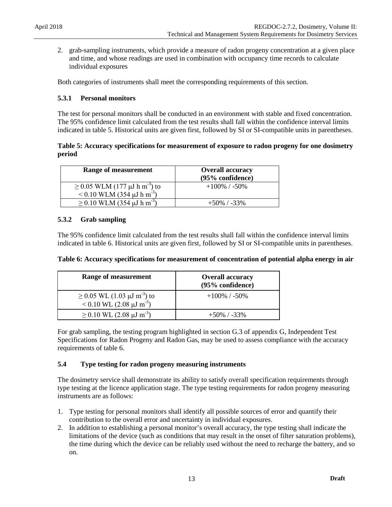2. grab-sampling instruments, which provide a measure of radon progeny concentration at a given place and time, and whose readings are used in combination with occupancy time records to calculate individual exposures

Both categories of instruments shall meet the corresponding requirements of this section.

### **5.3.1 Personal monitors**

The test for personal monitors shall be conducted in an environment with stable and fixed concentration. The 95% confidence limit calculated from the test results shall fall within the confidence interval limits indicated in table 5. Historical units are given first, followed by SI or SI-compatible units in parentheses.

### **Table 5: Accuracy specifications for measurement of exposure to radon progeny for one dosimetry period**

| Range of measurement                                                                                 | <b>Overall accuracy</b><br>(95% confidence) |
|------------------------------------------------------------------------------------------------------|---------------------------------------------|
| $\geq$ 0.05 WLM (177 $\mu$ J h m <sup>-3</sup> ) to<br>$< 0.10$ WLM (354 $\mu$ J h m <sup>-3</sup> ) | $+100\%$ / -50\%                            |
| $\geq$ 0.10 WLM (354 $\mu$ J h m <sup>-3</sup> )                                                     | $+50\%$ / -33%                              |

### **5.3.2 Grab sampling**

The 95% confidence limit calculated from the test results shall fall within the confidence interval limits indicated in table 6. Historical units are given first, followed by SI or SI-compatible units in parentheses.

| Range of measurement                                                                           | <b>Overall accuracy</b><br>(95% confidence) |
|------------------------------------------------------------------------------------------------|---------------------------------------------|
| $\geq$ 0.05 WL (1.03 $\mu$ J m <sup>-3</sup> ) to<br>< 0.10 WL (2.08 $\mu$ J m <sup>-3</sup> ) | $+100\%$ / -50%                             |
| $\geq$ 0.10 WL (2.08 $\mu$ J m <sup>-3</sup> )                                                 | $+50\%$ / -33%                              |

For grab sampling, the testing program highlighted in section G.3 of appendix G, Independent Test Specifications for Radon Progeny and Radon Gas, may be used to assess compliance with the accuracy requirements of table 6.

### <span id="page-19-0"></span>**5.4 Type testing for radon progeny measuring instruments**

The dosimetry service shall demonstrate its ability to satisfy overall specification requirements through type testing at the licence application stage. The type testing requirements for radon progeny measuring instruments are as follows:

- 1. Type testing for personal monitors shall identify all possible sources of error and quantify their contribution to the overall error and uncertainty in individual exposures.
- 2. In addition to establishing a personal monitor's overall accuracy, the type testing shall indicate the limitations of the device (such as conditions that may result in the onset of filter saturation problems), the time during which the device can be reliably used without the need to recharge the battery, and so on.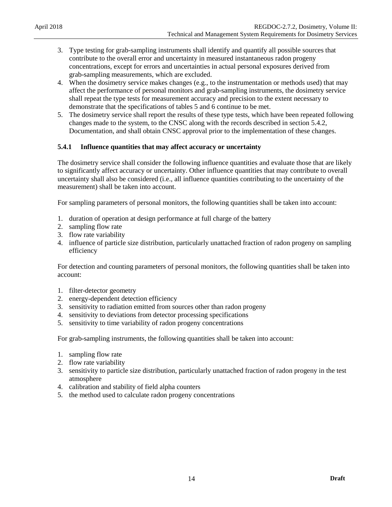- 3. Type testing for grab-sampling instruments shall identify and quantify all possible sources that contribute to the overall error and uncertainty in measured instantaneous radon progeny concentrations, except for errors and uncertainties in actual personal exposures derived from grab-sampling measurements, which are excluded.
- 4. When the dosimetry service makes changes (e.g., to the instrumentation or methods used) that may affect the performance of personal monitors and grab-sampling instruments, the dosimetry service shall repeat the type tests for measurement accuracy and precision to the extent necessary to demonstrate that the specifications of tables 5 and 6 continue to be met.
- 5. The dosimetry service shall report the results of these type tests, which have been repeated following changes made to the system, to the CNSC along with the records described in section 5.4.2, Documentation, and shall obtain CNSC approval prior to the implementation of these changes.

### **5.4.1 Influence quantities that may affect accuracy or uncertainty**

The dosimetry service shall consider the following influence quantities and evaluate those that are likely to significantly affect accuracy or uncertainty. Other influence quantities that may contribute to overall uncertainty shall also be considered (i.e., all influence quantities contributing to the uncertainty of the measurement) shall be taken into account.

For sampling parameters of personal monitors, the following quantities shall be taken into account:

- 1. duration of operation at design performance at full charge of the battery
- 2. sampling flow rate
- 3. flow rate variability
- 4. influence of particle size distribution, particularly unattached fraction of radon progeny on sampling efficiency

For detection and counting parameters of personal monitors, the following quantities shall be taken into account:

- 1. filter-detector geometry
- 2. energy-dependent detection efficiency
- 3. sensitivity to radiation emitted from sources other than radon progeny
- 4. sensitivity to deviations from detector processing specifications
- 5. sensitivity to time variability of radon progeny concentrations

For grab-sampling instruments, the following quantities shall be taken into account:

- 1. sampling flow rate
- 2. flow rate variability
- 3. sensitivity to particle size distribution, particularly unattached fraction of radon progeny in the test atmosphere
- 4. calibration and stability of field alpha counters
- 5. the method used to calculate radon progeny concentrations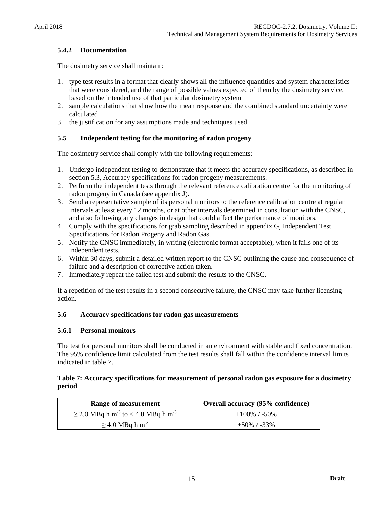### **5.4.2 Documentation**

The dosimetry service shall maintain:

- 1. type test results in a format that clearly shows all the influence quantities and system characteristics that were considered, and the range of possible values expected of them by the dosimetry service, based on the intended use of that particular dosimetry system
- 2. sample calculations that show how the mean response and the combined standard uncertainty were calculated
- 3. the justification for any assumptions made and techniques used

### <span id="page-21-0"></span>**5.5 Independent testing for the monitoring of radon progeny**

The dosimetry service shall comply with the following requirements:

- 1. Undergo independent testing to demonstrate that it meets the accuracy specifications, as described in section 5.3, Accuracy specifications for radon progeny measurements.
- 2. Perform the independent tests through the relevant reference calibration centre for the monitoring of radon progeny in Canada (see appendix J).
- 3. Send a representative sample of its personal monitors to the reference calibration centre at regular intervals at least every 12 months, or at other intervals determined in consultation with the CNSC, and also following any changes in design that could affect the performance of monitors.
- 4. Comply with the specifications for grab sampling described in appendix G, Independent Test Specifications for Radon Progeny and Radon Gas.
- 5. Notify the CNSC immediately, in writing (electronic format acceptable), when it fails one of its independent tests.
- 6. Within 30 days, submit a detailed written report to the CNSC outlining the cause and consequence of failure and a description of corrective action taken.
- 7. Immediately repeat the failed test and submit the results to the CNSC.

If a repetition of the test results in a second consecutive failure, the CNSC may take further licensing action.

### <span id="page-21-1"></span>**5.6 Accuracy specifications for radon gas measurements**

#### **5.6.1 Personal monitors**

The test for personal monitors shall be conducted in an environment with stable and fixed concentration. The 95% confidence limit calculated from the test results shall fall within the confidence interval limits indicated in table 7.

### **Table 7: Accuracy specifications for measurement of personal radon gas exposure for a dosimetry period**

| Range of measurement                                            | <b>Overall accuracy (95% confidence)</b> |
|-----------------------------------------------------------------|------------------------------------------|
| $\geq$ 2.0 MBq h m <sup>-3</sup> to < 4.0 MBq h m <sup>-3</sup> | $+100\%$ / -50\%                         |
| $\geq$ 4.0 MBq h m <sup>-3</sup>                                | $+50\%$ / -33%                           |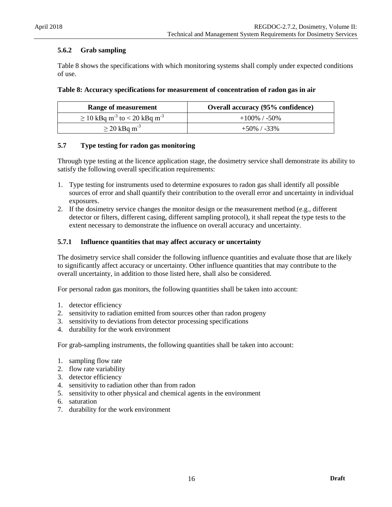### **5.6.2 Grab sampling**

Table 8 shows the specifications with which monitoring systems shall comply under expected conditions of use.

#### **Table 8: Accuracy specifications for measurement of concentration of radon gas in air**

| Range of measurement                                      | <b>Overall accuracy (95% confidence)</b> |
|-----------------------------------------------------------|------------------------------------------|
| $\geq$ 10 kBq m <sup>-3</sup> to < 20 kBq m <sup>-3</sup> | $+100\%$ / -50\%                         |
| $\geq$ 20 kBq m <sup>-3</sup>                             | $+50\%$ / -33%                           |

### <span id="page-22-0"></span>**5.7 Type testing for radon gas monitoring**

Through type testing at the licence application stage, the dosimetry service shall demonstrate its ability to satisfy the following overall specification requirements:

- 1. Type testing for instruments used to determine exposures to radon gas shall identify all possible sources of error and shall quantify their contribution to the overall error and uncertainty in individual exposures.
- 2. If the dosimetry service changes the monitor design or the measurement method (e.g., different detector or filters, different casing, different sampling protocol), it shall repeat the type tests to the extent necessary to demonstrate the influence on overall accuracy and uncertainty.

### **5.7.1 Influence quantities that may affect accuracy or uncertainty**

The dosimetry service shall consider the following influence quantities and evaluate those that are likely to significantly affect accuracy or uncertainty. Other influence quantities that may contribute to the overall uncertainty, in addition to those listed here, shall also be considered.

For personal radon gas monitors, the following quantities shall be taken into account:

- 1. detector efficiency
- 2. sensitivity to radiation emitted from sources other than radon progeny
- 3. sensitivity to deviations from detector processing specifications
- 4. durability for the work environment

For grab-sampling instruments, the following quantities shall be taken into account:

- 1. sampling flow rate
- 2. flow rate variability
- 3. detector efficiency
- 4. sensitivity to radiation other than from radon
- 5. sensitivity to other physical and chemical agents in the environment
- 6. saturation
- 7. durability for the work environment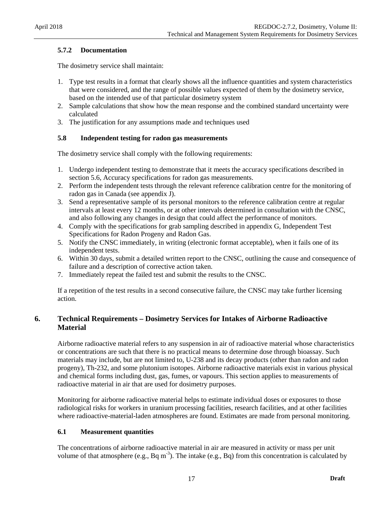### **5.7.2 Documentation**

The dosimetry service shall maintain:

- 1. Type test results in a format that clearly shows all the influence quantities and system characteristics that were considered, and the range of possible values expected of them by the dosimetry service, based on the intended use of that particular dosimetry system
- 2. Sample calculations that show how the mean response and the combined standard uncertainty were calculated
- 3. The justification for any assumptions made and techniques used

### <span id="page-23-0"></span>**5.8 Independent testing for radon gas measurements**

The dosimetry service shall comply with the following requirements:

- 1. Undergo independent testing to demonstrate that it meets the accuracy specifications described in section 5.6, Accuracy specifications for radon gas measurements.
- 2. Perform the independent tests through the relevant reference calibration centre for the monitoring of radon gas in Canada (see appendix J).
- 3. Send a representative sample of its personal monitors to the reference calibration centre at regular intervals at least every 12 months, or at other intervals determined in consultation with the CNSC, and also following any changes in design that could affect the performance of monitors.
- 4. Comply with the specifications for grab sampling described in appendix G, Independent Test Specifications for Radon Progeny and Radon Gas.
- 5. Notify the CNSC immediately, in writing (electronic format acceptable), when it fails one of its independent tests.
- 6. Within 30 days, submit a detailed written report to the CNSC, outlining the cause and consequence of failure and a description of corrective action taken.
- 7. Immediately repeat the failed test and submit the results to the CNSC.

If a repetition of the test results in a second consecutive failure, the CNSC may take further licensing action.

### <span id="page-23-1"></span>**6. Technical Requirements – Dosimetry Services for Intakes of Airborne Radioactive Material**

Airborne radioactive material refers to any suspension in air of radioactive material whose characteristics or concentrations are such that there is no practical means to determine dose through bioassay. Such materials may include, but are not limited to, U-238 and its decay products (other than radon and radon progeny), Th-232, and some plutonium isotopes. Airborne radioactive materials exist in various physical and chemical forms including dust, gas, fumes, or vapours. This section applies to measurements of radioactive material in air that are used for dosimetry purposes.

Monitoring for airborne radioactive material helps to estimate individual doses or exposures to those radiological risks for workers in uranium processing facilities, research facilities, and at other facilities where radioactive-material-laden atmospheres are found. Estimates are made from personal monitoring.

### <span id="page-23-2"></span>**6.1 Measurement quantities**

The concentrations of airborne radioactive material in air are measured in activity or mass per unit volume of that atmosphere (e.g.,  $Bq$  m<sup>-3</sup>). The intake (e.g.,  $Bq$ ) from this concentration is calculated by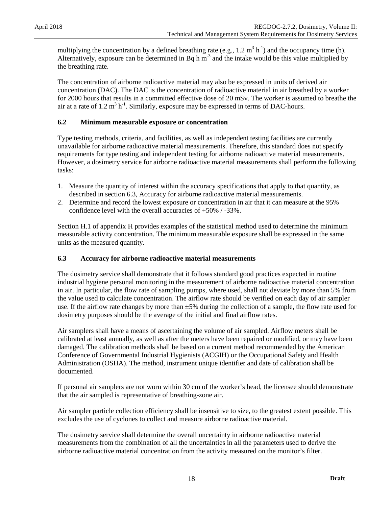multiplying the concentration by a defined breathing rate (e.g.,  $1.2 \text{ m}^3 \text{ h}^{-1}$ ) and the occupancy time (h). Alternatively, exposure can be determined in Bq h  $m<sup>3</sup>$  and the intake would be this value multiplied by the breathing rate.

The concentration of airborne radioactive material may also be expressed in units of derived air concentration (DAC). The DAC is the concentration of radioactive material in air breathed by a worker for 2000 hours that results in a committed effective dose of 20 mSv. The worker is assumed to breathe the air at a rate of 1.2  $m^3$  h<sup>-1</sup>. Similarly, exposure may be expressed in terms of DAC-hours.

### <span id="page-24-0"></span>**6.2 Minimum measurable exposure or concentration**

Type testing methods, criteria, and facilities, as well as independent testing facilities are currently unavailable for airborne radioactive material measurements. Therefore, this standard does not specify requirements for type testing and independent testing for airborne radioactive material measurements. However, a dosimetry service for airborne radioactive material measurements shall perform the following tasks:

- 1. Measure the quantity of interest within the accuracy specifications that apply to that quantity, as described in section 6.3, Accuracy for airborne radioactive material measurements.
- 2. Determine and record the lowest exposure or concentration in air that it can measure at the 95% confidence level with the overall accuracies of +50% / -33%.

Section H.1 of appendix H provides examples of the statistical method used to determine the minimum measurable activity concentration. The minimum measurable exposure shall be expressed in the same units as the measured quantity.

#### <span id="page-24-1"></span>**6.3 Accuracy for airborne radioactive material measurements**

The dosimetry service shall demonstrate that it follows standard good practices expected in routine industrial hygiene personal monitoring in the measurement of airborne radioactive material concentration in air. In particular, the flow rate of sampling pumps, where used, shall not deviate by more than 5% from the value used to calculate concentration. The airflow rate should be verified on each day of air sampler use. If the airflow rate changes by more than  $\pm 5\%$  during the collection of a sample, the flow rate used for dosimetry purposes should be the average of the initial and final airflow rates.

Air samplers shall have a means of ascertaining the volume of air sampled. Airflow meters shall be calibrated at least annually, as well as after the meters have been repaired or modified, or may have been damaged. The calibration methods shall be based on a current method recommended by the American Conference of Governmental Industrial Hygienists (ACGIH) or the Occupational Safety and Health Administration (OSHA). The method, instrument unique identifier and date of calibration shall be documented.

If personal air samplers are not worn within 30 cm of the worker's head, the licensee should demonstrate that the air sampled is representative of breathing-zone air.

Air sampler particle collection efficiency shall be insensitive to size, to the greatest extent possible. This excludes the use of cyclones to collect and measure airborne radioactive material.

The dosimetry service shall determine the overall uncertainty in airborne radioactive material measurements from the combination of all the uncertainties in all the parameters used to derive the airborne radioactive material concentration from the activity measured on the monitor's filter.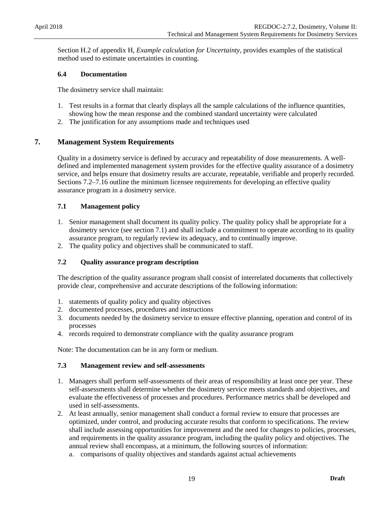Section H.2 of appendix H, *Example calculation for Uncertainty*, provides examples of the statistical method used to estimate uncertainties in counting.

### <span id="page-25-0"></span>**6.4 Documentation**

The dosimetry service shall maintain:

- 1. Test results in a format that clearly displays all the sample calculations of the influence quantities, showing how the mean response and the combined standard uncertainty were calculated
- 2. The justification for any assumptions made and techniques used

### <span id="page-25-1"></span>**7. Management System Requirements**

Quality in a dosimetry service is defined by accuracy and repeatability of dose measurements. A welldefined and implemented management system provides for the effective quality assurance of a dosimetry service, and helps ensure that dosimetry results are accurate, repeatable, verifiable and properly recorded. Sections 7.2–7.16 outline the minimum licensee requirements for developing an effective quality assurance program in a dosimetry service.

### <span id="page-25-2"></span>**7.1 Management policy**

- 1. Senior management shall document its quality policy. The quality policy shall be appropriate for a dosimetry service (see section 7.1) and shall include a commitment to operate according to its quality assurance program, to regularly review its adequacy, and to continually improve.
- 2. The quality policy and objectives shall be communicated to staff.

### <span id="page-25-3"></span>**7.2 Quality assurance program description**

The description of the quality assurance program shall consist of interrelated documents that collectively provide clear, comprehensive and accurate descriptions of the following information:

- 1. statements of quality policy and quality objectives
- 2. documented processes, procedures and instructions
- 3. documents needed by the dosimetry service to ensure effective planning, operation and control of its processes
- 4. records required to demonstrate compliance with the quality assurance program

Note: The documentation can be in any form or medium.

#### <span id="page-25-4"></span>**7.3 Management review and self-assessments**

- 1. Managers shall perform self-assessments of their areas of responsibility at least once per year. These self-assessments shall determine whether the dosimetry service meets standards and objectives, and evaluate the effectiveness of processes and procedures. Performance metrics shall be developed and used in self-assessments.
- 2. At least annually, senior management shall conduct a formal review to ensure that processes are optimized, under control, and producing accurate results that conform to specifications. The review shall include assessing opportunities for improvement and the need for changes to policies, processes, and requirements in the quality assurance program, including the quality policy and objectives. The annual review shall encompass, at a minimum, the following sources of information:
	- a. comparisons of quality objectives and standards against actual achievements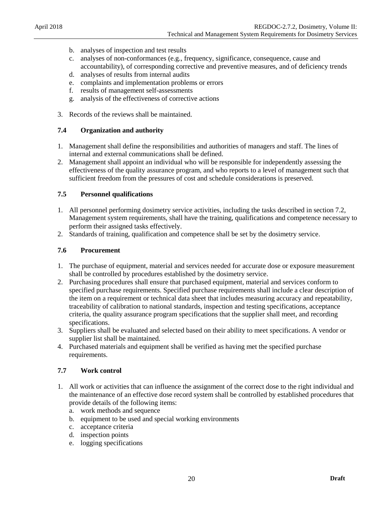- b. analyses of inspection and test results
- c. analyses of non-conformances (e.g., frequency, significance, consequence, cause and accountability), of corresponding corrective and preventive measures, and of deficiency trends
- d. analyses of results from internal audits
- e. complaints and implementation problems or errors
- f. results of management self-assessments
- g. analysis of the effectiveness of corrective actions
- 3. Records of the reviews shall be maintained.

### <span id="page-26-0"></span>**7.4 Organization and authority**

- 1. Management shall define the responsibilities and authorities of managers and staff. The lines of internal and external communications shall be defined.
- 2. Management shall appoint an individual who will be responsible for independently assessing the effectiveness of the quality assurance program, and who reports to a level of management such that sufficient freedom from the pressures of cost and schedule considerations is preserved.

### <span id="page-26-1"></span>**7.5 Personnel qualifications**

- 1. All personnel performing dosimetry service activities, including the tasks described in section 7.2, Management system requirements, shall have the training, qualifications and competence necessary to perform their assigned tasks effectively.
- 2. Standards of training, qualification and competence shall be set by the dosimetry service.

### <span id="page-26-2"></span>**7.6 Procurement**

- 1. The purchase of equipment, material and services needed for accurate dose or exposure measurement shall be controlled by procedures established by the dosimetry service.
- 2. Purchasing procedures shall ensure that purchased equipment, material and services conform to specified purchase requirements. Specified purchase requirements shall include a clear description of the item on a requirement or technical data sheet that includes measuring accuracy and repeatability, traceability of calibration to national standards, inspection and testing specifications, acceptance criteria, the quality assurance program specifications that the supplier shall meet, and recording specifications.
- 3. Suppliers shall be evaluated and selected based on their ability to meet specifications. A vendor or supplier list shall be maintained.
- 4. Purchased materials and equipment shall be verified as having met the specified purchase requirements.

#### <span id="page-26-3"></span>**7.7 Work control**

- 1. All work or activities that can influence the assignment of the correct dose to the right individual and the maintenance of an effective dose record system shall be controlled by established procedures that provide details of the following items:
	- a. work methods and sequence
	- b. equipment to be used and special working environments
	- c. acceptance criteria
	- d. inspection points
	- e. logging specifications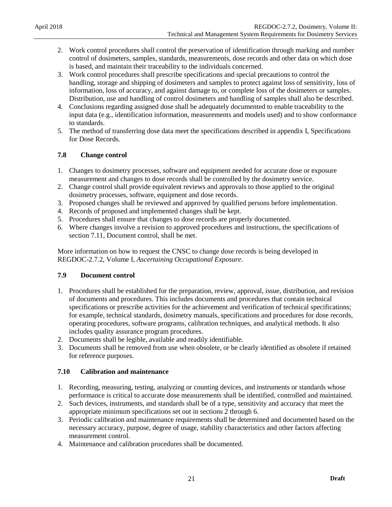- 2. Work control procedures shall control the preservation of identification through marking and number control of dosimeters, samples, standards, measurements, dose records and other data on which dose is based, and maintain their traceability to the individuals concerned.
- 3. Work control procedures shall prescribe specifications and special precautions to control the handling, storage and shipping of dosimeters and samples to protect against loss of sensitivity, loss of information, loss of accuracy, and against damage to, or complete loss of the dosimeters or samples. Distribution, use and handling of control dosimeters and handling of samples shall also be described.
- 4. Conclusions regarding assigned dose shall be adequately documented to enable traceability to the input data (e.g., identification information, measurements and models used) and to show conformance to standards.
- 5. The method of transferring dose data meet the specifications described in appendix I, Specifications for Dose Records.

### <span id="page-27-0"></span>**7.8 Change control**

- 1. Changes to dosimetry processes, software and equipment needed for accurate dose or exposure measurement and changes to dose records shall be controlled by the dosimetry service.
- 2. Change control shall provide equivalent reviews and approvals to those applied to the original dosimetry processes, software, equipment and dose records.
- 3. Proposed changes shall be reviewed and approved by qualified persons before implementation.
- 4. Records of proposed and implemented changes shall be kept.
- 5. Procedures shall ensure that changes to dose records are properly documented.
- 6. Where changes involve a revision to approved procedures and instructions, the specifications of section 7.11, Document control, shall be met.

More information on how to request the CNSC to change dose records is being developed in REGDOC-2.7.2, Volume I, *Ascertaining Occupational Exposure*.

### <span id="page-27-1"></span>**7.9 Document control**

- 1. Procedures shall be established for the preparation, review, approval, issue, distribution, and revision of documents and procedures. This includes documents and procedures that contain technical specifications or prescribe activities for the achievement and verification of technical specifications; for example, technical standards, dosimetry manuals, specifications and procedures for dose records, operating procedures, software programs, calibration techniques, and analytical methods. It also includes quality assurance program procedures.
- 2. Documents shall be legible, available and readily identifiable.
- 3. Documents shall be removed from use when obsolete, or be clearly identified as obsolete if retained for reference purposes.

#### <span id="page-27-2"></span>**7.10 Calibration and maintenance**

- 1. Recording, measuring, testing, analyzing or counting devices, and instruments or standards whose performance is critical to accurate dose measurements shall be identified, controlled and maintained.
- 2. Such devices, instruments, and standards shall be of a type, sensitivity and accuracy that meet the appropriate minimum specifications set out in sections 2 through 6.
- 3. Periodic calibration and maintenance requirements shall be determined and documented based on the necessary accuracy, purpose, degree of usage, stability characteristics and other factors affecting measurement control.
- 4. Maintenance and calibration procedures shall be documented.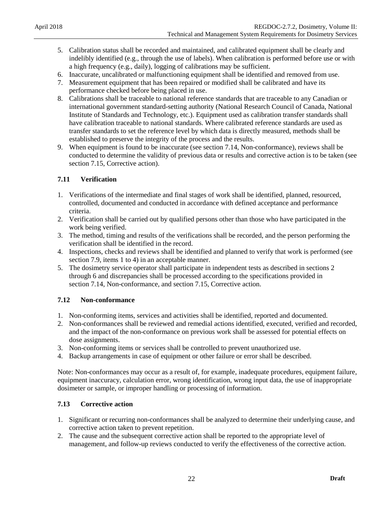- 5. Calibration status shall be recorded and maintained, and calibrated equipment shall be clearly and indelibly identified (e.g., through the use of labels). When calibration is performed before use or with a high frequency (e.g., daily), logging of calibrations may be sufficient.
- 6. Inaccurate, uncalibrated or malfunctioning equipment shall be identified and removed from use.
- 7. Measurement equipment that has been repaired or modified shall be calibrated and have its performance checked before being placed in use.
- 8. Calibrations shall be traceable to national reference standards that are traceable to any Canadian or international government standard-setting authority (National Research Council of Canada, National Institute of Standards and Technology, etc.). Equipment used as calibration transfer standards shall have calibration traceable to national standards. Where calibrated reference standards are used as transfer standards to set the reference level by which data is directly measured, methods shall be established to preserve the integrity of the process and the results.
- 9. When equipment is found to be inaccurate (see section 7.14, Non-conformance), reviews shall be conducted to determine the validity of previous data or results and corrective action is to be taken (see section 7.15, Corrective action).

### <span id="page-28-0"></span>**7.11 Verification**

- 1. Verifications of the intermediate and final stages of work shall be identified, planned, resourced, controlled, documented and conducted in accordance with defined acceptance and performance criteria.
- 2. Verification shall be carried out by qualified persons other than those who have participated in the work being verified.
- 3. The method, timing and results of the verifications shall be recorded, and the person performing the verification shall be identified in the record.
- 4. Inspections, checks and reviews shall be identified and planned to verify that work is performed (see section 7.9, items 1 to 4) in an acceptable manner.
- 5. The dosimetry service operator shall participate in independent tests as described in sections 2 through 6 and discrepancies shall be processed according to the specifications provided in section 7.14, Non-conformance, and section 7.15, Corrective action.

### <span id="page-28-1"></span>**7.12 Non-conformance**

- 1. Non-conforming items, services and activities shall be identified, reported and documented.
- 2. Non-conformances shall be reviewed and remedial actions identified, executed, verified and recorded, and the impact of the non-conformance on previous work shall be assessed for potential effects on dose assignments.
- 3. Non-conforming items or services shall be controlled to prevent unauthorized use.
- 4. Backup arrangements in case of equipment or other failure or error shall be described.

Note: Non-conformances may occur as a result of, for example, inadequate procedures, equipment failure, equipment inaccuracy, calculation error, wrong identification, wrong input data, the use of inappropriate dosimeter or sample, or improper handling or processing of information.

### <span id="page-28-2"></span>**7.13 Corrective action**

- 1. Significant or recurring non-conformances shall be analyzed to determine their underlying cause, and corrective action taken to prevent repetition.
- 2. The cause and the subsequent corrective action shall be reported to the appropriate level of management, and follow-up reviews conducted to verify the effectiveness of the corrective action.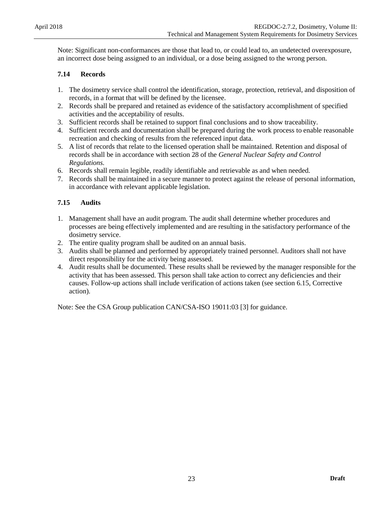Note: Significant non-conformances are those that lead to, or could lead to, an undetected overexposure, an incorrect dose being assigned to an individual, or a dose being assigned to the wrong person.

### <span id="page-29-0"></span>**7.14 Records**

- 1. The dosimetry service shall control the identification, storage, protection, retrieval, and disposition of records, in a format that will be defined by the licensee.
- 2. Records shall be prepared and retained as evidence of the satisfactory accomplishment of specified activities and the acceptability of results.
- 3. Sufficient records shall be retained to support final conclusions and to show traceability.
- 4. Sufficient records and documentation shall be prepared during the work process to enable reasonable recreation and checking of results from the referenced input data.
- 5. A list of records that relate to the licensed operation shall be maintained. Retention and disposal of records shall be in accordance with section 28 of the *General Nuclear Safety and Control Regulations.*
- 6. Records shall remain legible, readily identifiable and retrievable as and when needed.
- 7. Records shall be maintained in a secure manner to protect against the release of personal information, in accordance with relevant applicable legislation.

### <span id="page-29-1"></span>**7.15 Audits**

- 1. Management shall have an audit program. The audit shall determine whether procedures and processes are being effectively implemented and are resulting in the satisfactory performance of the dosimetry service.
- 2. The entire quality program shall be audited on an annual basis.
- 3. Audits shall be planned and performed by appropriately trained personnel. Auditors shall not have direct responsibility for the activity being assessed.
- 4. Audit results shall be documented. These results shall be reviewed by the manager responsible for the activity that has been assessed. This person shall take action to correct any deficiencies and their causes. Follow-up actions shall include verification of actions taken (see section 6.15, Corrective action).

Note: See the CSA Group publication CAN/CSA-ISO 19011:03 [3] for guidance.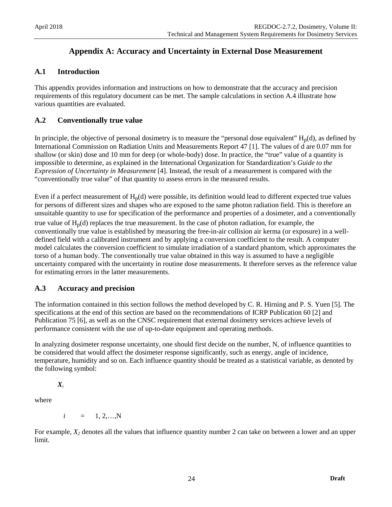# <span id="page-30-0"></span>**Appendix A: Accuracy and Uncertainty in External Dose Measurement**

### <span id="page-30-1"></span>**A.1 Introduction**

This appendix provides information and instructions on how to demonstrate that the accuracy and precision requirements of this regulatory document can be met. The sample calculations in section A.4 illustrate how various quantities are evaluated.

### <span id="page-30-2"></span>**A.2 Conventionally true value**

In principle, the objective of personal dosimetry is to measure the "personal dose equivalent"  $H_p(d)$ , as defined by International Commission on Radiation Units and Measurements Report 47 [1]. The values of d are 0.07 mm for shallow (or skin) dose and 10 mm for deep (or whole-body) dose. In practice, the "true" value of a quantity is impossible to determine, as explained in the International Organization for Standardization's *Guide to the Expression of Uncertainty in Measurement* [4]. Instead, the result of a measurement is compared with the "conventionally true value" of that quantity to assess errors in the measured results.

Even if a perfect measurement of  $H_p(d)$  were possible, its definition would lead to different expected true values for persons of different sizes and shapes who are exposed to the same photon radiation field. This is therefore an unsuitable quantity to use for specification of the performance and properties of a dosimeter, and a conventionally true value of  $H_p(d)$  replaces the true measurement. In the case of photon radiation, for example, the conventionally true value is established by measuring the free-in-air collision air kerma (or exposure) in a welldefined field with a calibrated instrument and by applying a conversion coefficient to the result. A computer model calculates the conversion coefficient to simulate irradiation of a standard phantom, which approximates the torso of a human body. The conventionally true value obtained in this way is assumed to have a negligible uncertainty compared with the uncertainty in routine dose measurements. It therefore serves as the reference value for estimating errors in the latter measurements.

### <span id="page-30-3"></span>**A.3 Accuracy and precision**

The information contained in this section follows the method developed by C. R. Hirning and P. S. Yuen [5]. The specifications at the end of this section are based on the recommendations of ICRP Publication 60 [2] and Publication 75 [6], as well as on the CNSC requirement that external dosimetry services achieve levels of performance consistent with the use of up-to-date equipment and operating methods.

In analyzing dosimeter response uncertainty, one should first decide on the number, N, of influence quantities to be considered that would affect the dosimeter response significantly, such as energy, angle of incidence, temperature, humidity and so on. Each influence quantity should be treated as a statistical variable, as denoted by the following symbol:

### *Xi*

where

$$
i = 1, 2, \ldots, N
$$

For example,  $X_2$  denotes all the values that influence quantity number 2 can take on between a lower and an upper limit.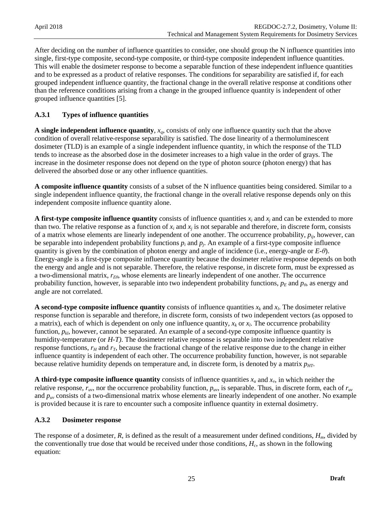After deciding on the number of influence quantities to consider, one should group the N influence quantities into single, first-type composite, second-type composite, or third-type composite independent influence quantities. This will enable the dosimeter response to become a separable function of these independent influence quantities and to be expressed as a product of relative responses. The conditions for separability are satisfied if, for each grouped independent influence quantity, the fractional change in the overall relative response at conditions other than the reference conditions arising from a change in the grouped influence quantity is independent of other grouped influence quantities [5].

### **A.3.1 Types of influence quantities**

**A single independent influence quantity**, *xq*, consists of only one influence quantity such that the above condition of overall relative-response separability is satisfied. The dose linearity of a thermoluminescent dosimeter (TLD) is an example of a single independent influence quantity, in which the response of the TLD tends to increase as the absorbed dose in the dosimeter increases to a high value in the order of grays. The increase in the dosimeter response does not depend on the type of photon source (photon energy) that has delivered the absorbed dose or any other influence quantities.

**A composite influence quantity** consists of a subset of the N influence quantities being considered. Similar to a single independent influence quantity, the fractional change in the overall relative response depends only on this independent composite influence quantity alone.

**A first-type composite influence quantity** consists of influence quantities  $x_i$  and  $x_j$  and can be extended to more than two. The relative response as a function of  $x_i$  and  $x_j$  is not separable and therefore, in discrete form, consists of a matrix whose elements are linearly independent of one another. The occurrence probability, *pij*, however, can be separable into independent probability functions *pi* and *pj*. An example of a first-type composite influence quantity is given by the combination of photon energy and angle of incidence (i.e., energy-angle or *E-θ*). Energy-angle is a first-type composite influence quantity because the dosimeter relative response depends on both the energy and angle and is not separable. Therefore, the relative response, in discrete form, must be expressed as a two-dimensional matrix, *rEθ*, whose elements are linearly independent of one another. The occurrence probability function, however, is separable into two independent probability functions,  $p_E$  and  $p_\theta$ , as energy and angle are not correlated.

**A second-type composite influence quantity** consists of influence quantities  $x_k$  and  $x_l$ . The dosimeter relative response function is separable and therefore, in discrete form, consists of two independent vectors (as opposed to a matrix), each of which is dependent on only one influence quantity,  $x_k$  or  $x_l$ . The occurrence probability function,  $p_{kl}$ , however, cannot be separated. An example of a second-type composite influence quantity is humidity-temperature (or *H-T)*. The dosimeter relative response is separable into two independent relative response functions,  $r_H$  and  $r_T$ , because the fractional change of the relative response due to the change in either influence quantity is independent of each other. The occurrence probability function, however, is not separable because relative humidity depends on temperature and, in discrete form, is denoted by a matrix *pHT*.

**A third-type composite influence quantity** consists of influence quantities  $x_u$  and  $x_v$ , in which neither the relative response,  $r_{uv}$ , nor the occurrence probability function,  $p_{uv}$ , is separable. Thus, in discrete form, each of  $r_{uv}$ and  $p_{\mu\nu}$  consists of a two-dimensional matrix whose elements are linearly independent of one another. No example is provided because it is rare to encounter such a composite influence quantity in external dosimetry.

### **A.3.2 Dosimeter response**

The response of a dosimeter, *R*, is defined as the result of a measurement under defined conditions, *Hm*, divided by the conventionally true dose that would be received under those conditions, *Hc*, as shown in the following equation: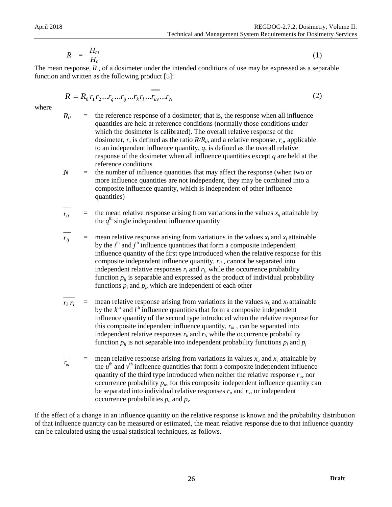$$
R = \frac{H_m}{H_c} \tag{1}
$$

The mean response, R, of a dosimeter under the intended conditions of use may be expressed as a separable function and written as the following product [5]:

$$
\overline{R} = R_0 \overline{r_1 r_2} \dots \overline{r_q} \dots \overline{r_k r_l} \dots \overline{r_k r_l} \dots \overline{r_N}
$$
\n(2)

where

- $R_0$  = the reference response of a dosimeter; that is, the response when all influence quantities are held at reference conditions (normally those conditions under which the dosimeter is calibrated). The overall relative response of the dosimeter,  $r$ , is defined as the ratio  $R/R_0$ , and a relative response,  $r_q$ , applicable to an independent influence quantity,  $q$ , is defined as the overall relative response of the dosimeter when all influence quantities except *q* are held at the reference conditions
- $N =$  the number of influence quantities that may affect the response (when two or more influence quantities are not independent, they may be combined into a composite influence quantity, which is independent of other influence quantities)
- $\overline{\phantom{0}}$  $r_q$  = the mean relative response arising from variations in the values  $x_q$  attainable by the  $q^{\text{th}}$  single independent influence quantity

 $\overline{\phantom{0}}$  $r_{ij}$  = mean relative response arising from variations in the values  $x_i$  and  $x_j$  attainable by the  $i<sup>th</sup>$  and  $j<sup>th</sup>$  influence quantities that form a composite independent influence quantity of the first type introduced when the relative response for this composite independent influence quantity,  $r_{ii}$ , cannot be separated into independent relative responses  $r_i$  and  $r_j$ , while the occurrence probability function  $p_{ij}$  is separable and expressed as the product of individual probability functions  $p_i$  and  $p_j$ , which are independent of each other

- $\overline{\phantom{a}}$  $r_k r_l$  = mean relative response arising from variations in the values  $x_k$  and  $x_l$  attainable by the  $k<sup>th</sup>$  and  $l<sup>th</sup>$  influence quantities that form a composite independent influence quantity of the second type introduced when the relative response for this composite independent influence quantity,  $r_{kl}$ , can be separated into independent relative responses  $r_k$  and  $r_l$ , while the occurrence probability function  $p_{ij}$  is not separable into independent probability functions  $p_i$  and  $p_j$
- mean relative response arising from variations in values  $x_u$  and  $x_v$  attainable by the  $u^{\text{th}}$  and  $v^{\text{th}}$  influence quantities that form a composite independent influence quantity of the third type introduced when neither the relative response  $r_{uv}$  nor occurrence probability  $p_{uv}$  for this composite independent influence quantity can be separated into individual relative responses  $r_u$  and  $r_v$ , or independent occurrence probabilities  $p_u$  and  $p_v$ *ruv*

If the effect of a change in an influence quantity on the relative response is known and the probability distribution of that influence quantity can be measured or estimated, the mean relative response due to that influence quantity can be calculated using the usual statistical techniques, as follows.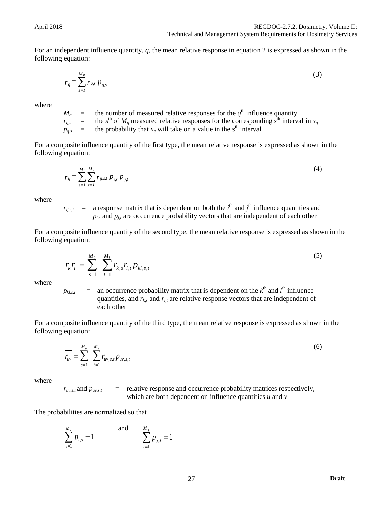For an independent influence quantity, *q*, the mean relative response in equation 2 is expressed as shown in the following equation:

$$
\overline{r_q} = \sum_{s=1}^{M_q} r_{q,s} p_{q,s} \tag{3}
$$

where

 $M_q$  = the number of measured relative responses for the  $q<sup>th</sup>$  influence quantity  $r_{q,s}$  = the *s*<sup>th</sup> of *M<sub>q</sub>* measured relative responses for the corresponding *s*<sup>th</sup> interval in  $x_q$  $p_{q,s}$  = the probability that  $x_q$  will take on a value in the  $s<sup>th</sup>$  interval

For a composite influence quantity of the first type, the mean relative response is expressed as shown in the following equation:

$$
\overline{r_{ij}} = \sum_{s=1}^{M_i} \sum_{t=1}^{M_j} r_{ij, s, t} \, p_{i, s} \, p_{j, t} \tag{4}
$$

where

 $r_{ij,s,t}$  = a response matrix that is dependent on both the *i*<sup>th</sup> and *j*<sup>th</sup> influence quantities and  $p_{i,s}$  and  $p_{j,t}$  are occurrence probability vectors that are independent of each other

For a composite influence quantity of the second type, the mean relative response is expressed as shown in the following equation:

$$
\overline{r_k r_l} = \sum_{s=1}^{M_k} \sum_{t=1}^{M_l} r_{k,s} r_{l,t} p_{kl,s,t}
$$
\n(5)

where

 $p_{kl,s,t}$  = an occurrence probability matrix that is dependent on the  $k^{\text{th}}$  and  $l^{\text{th}}$  influence quantities, and  $r_{k,s}$  and  $r_{l,t}$  are relative response vectors that are independent of each other

For a composite influence quantity of the third type, the mean relative response is expressed as shown in the following equation:

$$
\overline{r_{uv}} = \sum_{s=1}^{M_u} \sum_{t=1}^{M_v} r_{uv,s,t} p_{uv,s,t}
$$
 (6)

where

 $r_{uv,s,t}$  and  $p_{uv,s,t}$  = relative response and occurrence probability matrices respectively, which are both dependent on influence quantities *u* and *v*

The probabilities are normalized so that

$$
\sum_{s=1}^{M_i} p_{i,s} = 1
$$
 and 
$$
\sum_{t=1}^{M_j} p_{j,t} = 1
$$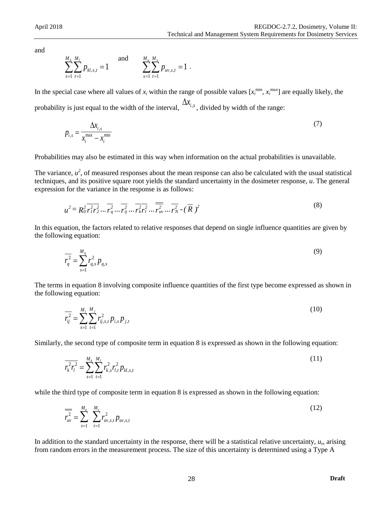and

$$
\sum_{s=1}^{M_k} \sum_{t=1}^{M_l} p_{kl,s,t} = 1 \quad \text{and} \quad \sum_{s=1}^{M_u} \sum_{t=1}^{M_v} p_{uv,s,t} = 1 \; .
$$

In the special case where all values of  $x_i$  within the range of possible values  $[x_i^{\min}, x_i^{\max}]$  are equally likely, the probability is just equal to the width of the interval,  $\Delta x_{i,s}$ , divided by width of the range:

$$
p_{i,s} = \frac{\Delta x_{i,s}}{x_i^{\max} - x_i^{\min}}
$$
\n<sup>(7)</sup>

Probabilities may also be estimated in this way when information on the actual probabilities is unavailable.

The variance,  $u^2$ , of measured responses about the mean response can also be calculated with the usual statistical techniques, and its positive square root yields the standard uncertainty in the dosimeter response, *u*. The general expression for the variance in the response is as follows:

$$
u^{2} = R_{0}^{2} \overline{r_{1}^{2} r_{2}^{2}} \dots \overline{r_{q}^{2}} \dots \overline{r_{ij}^{2}} \dots \overline{r_{kr_{1}}^{2} r_{w_{2}} \dots \overline{r_{w}} \dots \overline{r_{r}}^{2}} \cdot (\overline{R})^{2}
$$
 (8)

In this equation, the factors related to relative responses that depend on single influence quantities are given by the following equation:

$$
\overline{r_q^2} = \sum_{s=1}^{M_q} r_{q,s}^2 p_{q,s}
$$
\n(9)

The terms in equation 8 involving composite influence quantities of the first type become expressed as shown in the following equation:

$$
\overline{r_{ij}^2} = \sum_{s=1}^{M_i} \sum_{t=1}^{M_j} r_{ij,s,t}^2 p_{i,s} p_{j,t}
$$
 (10)

Similarly, the second type of composite term in equation 8 is expressed as shown in the following equation:

$$
\overline{r_k^2 r_l^2} = \sum_{s=1}^{M_k} \sum_{t=1}^{M_l} r_{k,s}^2 r_{l,t}^2 p_{kl,s,t}
$$
 (11)

while the third type of composite term in equation 8 is expressed as shown in the following equation:

$$
\overline{r_{uv}^2} = \sum_{s=1}^{M_u} \sum_{t=1}^{M_v} r_{uv,s,t}^2 p_{uv,s,t}
$$
 (12)

In addition to the standard uncertainty in the response, there will be a statistical relative uncertainty, *us*, arising from random errors in the measurement process. The size of this uncertainty is determined using a Type A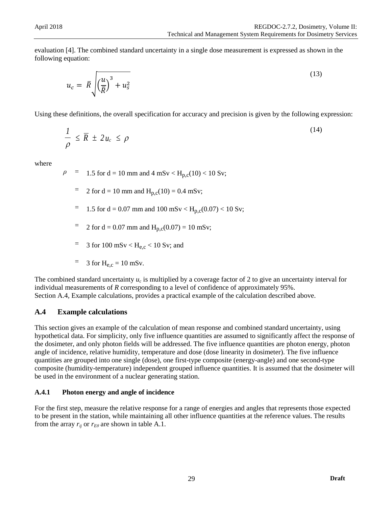evaluation [4]. The combined standard uncertainty in a single dose measurement is expressed as shown in the following equation:

$$
u_c = \bar{R} \sqrt{\left(\frac{u}{\bar{R}}\right)^3 + u_s^2}
$$
\n(13)

Using these definitions, the overall specification for accuracy and precision is given by the following expression:

$$
\frac{1}{\rho} \le \overline{R} \pm 2 u_c \le \rho \tag{14}
$$

where

 $\rho$  = 1.5 for d = 10 mm and 4 mSv < H<sub>p,c</sub>(10) < 10 Sv;

- $= 2$  for d = 10 mm and H<sub>p,c</sub>(10) = 0.4 mSv;
- $=$  1.5 for d = 0.07 mm and 100 mSv < H<sub>p,c</sub>(0.07) < 10 Sv;
- = 2 for d = 0.07 mm and  $H_{p,c}(0.07) = 10$  mSv;
- $=$  3 for 100 mSv < H<sub>e,c</sub> < 10 Sv; and
- $=$  3 for H<sub>e,c</sub> = 10 mSv.

The combined standard uncertainty *uc* is multiplied by a coverage factor of 2 to give an uncertainty interval for individual measurements of *R* corresponding to a level of confidence of approximately 95%. Section A.4, Example calculations, provides a practical example of the calculation described above.

### <span id="page-35-0"></span>**A.4 Example calculations**

This section gives an example of the calculation of mean response and combined standard uncertainty, using hypothetical data. For simplicity, only five influence quantities are assumed to significantly affect the response of the dosimeter, and only photon fields will be addressed. The five influence quantities are photon energy, photon angle of incidence, relative humidity, temperature and dose (dose linearity in dosimeter). The five influence quantities are grouped into one single (dose), one first-type composite (energy-angle) and one second-type composite (humidity-temperature) independent grouped influence quantities. It is assumed that the dosimeter will be used in the environment of a nuclear generating station.

#### **A.4.1 Photon energy and angle of incidence**

For the first step, measure the relative response for a range of energies and angles that represents those expected to be present in the station, while maintaining all other influence quantities at the reference values. The results from the array  $r_{ii}$  or  $r_{E\theta}$  are shown in table A.1.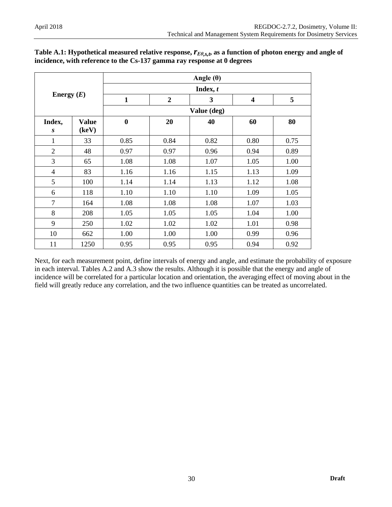| Energy $(E)$        |                       |              |                  | Angle $(\theta)$ |                         |      |
|---------------------|-----------------------|--------------|------------------|------------------|-------------------------|------|
|                     |                       | Index, $t$   |                  |                  |                         |      |
|                     |                       | $\mathbf{1}$ | $\boldsymbol{2}$ | 3                | $\overline{\mathbf{4}}$ | 5    |
|                     |                       |              |                  | Value (deg)      |                         |      |
| Index,<br>$\pmb{S}$ | <b>Value</b><br>(key) | $\bf{0}$     | 20               | 40               | 60                      | 80   |
| 1                   | 33                    | 0.85         | 0.84             | 0.82             | 0.80                    | 0.75 |
| $\overline{2}$      | 48                    | 0.97         | 0.97             | 0.96             | 0.94                    | 0.89 |
| 3                   | 65                    | 1.08         | 1.08             | 1.07             | 1.05                    | 1.00 |
| 4                   | 83                    | 1.16         | 1.16             | 1.15             | 1.13                    | 1.09 |
| 5                   | 100                   | 1.14         | 1.14             | 1.13             | 1.12                    | 1.08 |
| 6                   | 118                   | 1.10         | 1.10             | 1.10             | 1.09                    | 1.05 |
| $\overline{7}$      | 164                   | 1.08         | 1.08             | 1.08             | 1.07                    | 1.03 |
| 8                   | 208                   | 1.05         | 1.05             | 1.05             | 1.04                    | 1.00 |
| 9                   | 250                   | 1.02         | 1.02             | 1.02             | 1.01                    | 0.98 |
| 10                  | 662                   | 1.00         | 1.00             | 1.00             | 0.99                    | 0.96 |
| 11                  | 1250                  | 0.95         | 0.95             | 0.95             | 0.94                    | 0.92 |

Table A.1: Hypothetical measured relative response,  $r_{E\theta,s,t}$ , as a function of photon energy and angle of **incidence, with reference to the Cs-137 gamma ray response at 0 degrees**

Next, for each measurement point, define intervals of energy and angle, and estimate the probability of exposure in each interval. Tables A.2 and A.3 show the results. Although it is possible that the energy and angle of incidence will be correlated for a particular location and orientation, the averaging effect of moving about in the field will greatly reduce any correlation, and the two influence quantities can be treated as uncorrelated.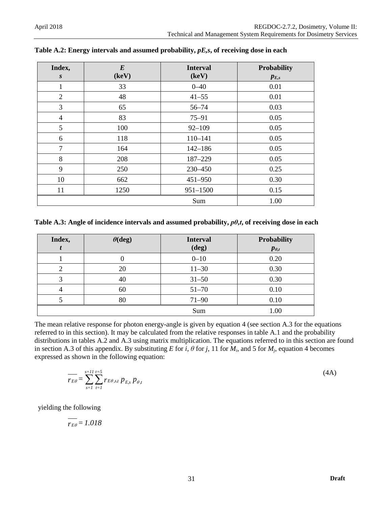| Index,<br>$\boldsymbol{S}$ | $\bm{E}$<br>(key) | <b>Interval</b><br>(keV) | Probability<br>$p_{E,s}$ |
|----------------------------|-------------------|--------------------------|--------------------------|
| $\mathbf{1}$               | 33                | $0 - 40$                 | 0.01                     |
| $\overline{2}$             | 48                | $41 - 55$                | 0.01                     |
| 3                          | 65                | $56 - 74$                | 0.03                     |
| $\overline{4}$             | 83                | $75 - 91$                | 0.05                     |
| 5                          | 100               | $92 - 109$               | 0.05                     |
| 6                          | 118               | 110-141                  | 0.05                     |
| $\overline{7}$             | 164               | $142 - 186$              | 0.05                     |
| 8                          | 208               | 187-229                  | 0.05                     |
| 9                          | 250               | 230-450                  | 0.25                     |
| 10                         | 662               | 451-950                  | 0.30                     |
| 11                         | 1250              | $951 - 1500$             | 0.15                     |
|                            |                   | Sum                      | 1.00                     |

**Table A.2: Energy intervals and assumed probability,** *pE,s***, of receiving dose in each**

**Table A.3: Angle of incidence intervals and assumed probability,** *pθ,t***, of receiving dose in each**

| Index, | $\theta$ (deg) | <b>Interval</b> | <b>Probability</b> |
|--------|----------------|-----------------|--------------------|
|        |                | $(\text{deg})$  | $p_{\theta,t}$     |
|        |                | $0 - 10$        | 0.20               |
|        | 20             | $11 - 30$       | 0.30               |
| 3      | 40             | $31 - 50$       | 0.30               |
| 4      | 60             | $51 - 70$       | 0.10               |
|        | 80             | $71 - 90$       | 0.10               |
|        |                | Sum             | 1.00               |

The mean relative response for photon energy-angle is given by equation 4 (see section A.3 for the equations referred to in this section). It may be calculated from the relative responses in table A.1 and the probability distributions in tables A.2 and A.3 using matrix multiplication. The equations referred to in this section are found in section A.3 of this appendix. By substituting *E* for *i*,  $\theta$  for *j*, 11 for  $M_i$ , and 5 for  $M_i$ , equation 4 becomes expressed as shown in the following equation:

$$
\overline{r_{E\theta}} = \sum_{s=1}^{s=11} \sum_{t=1}^{t=5} r_{E\theta, s,t} p_{E,s} p_{\theta,t}
$$

yielding the following

 $\frac{1}{r_{E\theta}} = 1.018$ 

(4A)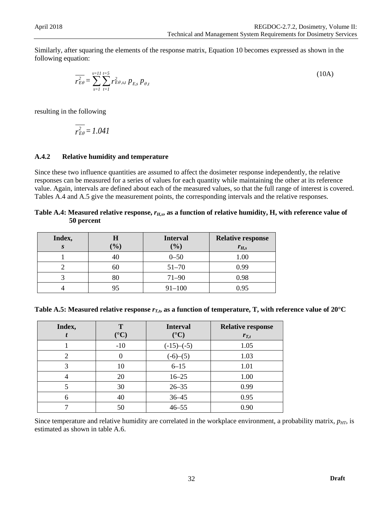Similarly, after squaring the elements of the response matrix, Equation 10 becomes expressed as shown in the following equation:

$$
\overline{r_{E\theta}^2} = \sum_{s=1}^{s=11} \sum_{t=1}^{t=5} r_{E\theta,s,t}^2 p_{E,s} p_{\theta,t}
$$
 (10A)

resulting in the following

$$
\overline{r_{E\theta}^2} = 1.041
$$

### **A.4.2 Relative humidity and temperature**

Since these two influence quantities are assumed to affect the dosimeter response independently, the relative responses can be measured for a series of values for each quantity while maintaining the other at its reference value. Again, intervals are defined about each of the measured values, so that the full range of interest is covered. Tables A.4 and A.5 give the measurement points, the corresponding intervals and the relative responses.

#### Table A.4: Measured relative response,  $r_{H,s}$ , as a function of relative humidity, H, with reference value of **50 percent**

| Index, | Н<br>$\mathcal{O}_0$ | <b>Interval</b><br>$(\%)$ | <b>Relative response</b><br>$r_{H,s}$ |
|--------|----------------------|---------------------------|---------------------------------------|
|        | 40                   | $0 - 50$                  | 1.00                                  |
|        | 60                   | $51 - 70$                 | 0.99                                  |
|        | 80                   | $71 - 90$                 | 0.98                                  |
|        | 95                   | $91 - 100$                | 0.95                                  |

| Table A.5: Measured relative response $r_{T,t}$ , as a function of temperature, T, with reference value of 20°C |  |  |
|-----------------------------------------------------------------------------------------------------------------|--|--|
|-----------------------------------------------------------------------------------------------------------------|--|--|

| Index, | T<br>$({}^{\circ}C)$ | <b>Interval</b><br>$({}^{\circ}C)$ | <b>Relative response</b><br>$r_{T,t}$ |
|--------|----------------------|------------------------------------|---------------------------------------|
|        | $-10$                | $(-15)$ - $(-5)$                   | 1.05                                  |
| 2      |                      | $(-6)-(5)$                         | 1.03                                  |
| 3      | 10                   | $6 - 15$                           | 1.01                                  |
|        | 20                   | $16 - 25$                          | 1.00                                  |
|        | 30                   | $26 - 35$                          | 0.99                                  |
| 6      | 40                   | $36 - 45$                          | 0.95                                  |
|        | 50                   | $46 - 55$                          | 0.90                                  |

Since temperature and relative humidity are correlated in the workplace environment, a probability matrix,  $p_{HT}$ , is estimated as shown in table A.6.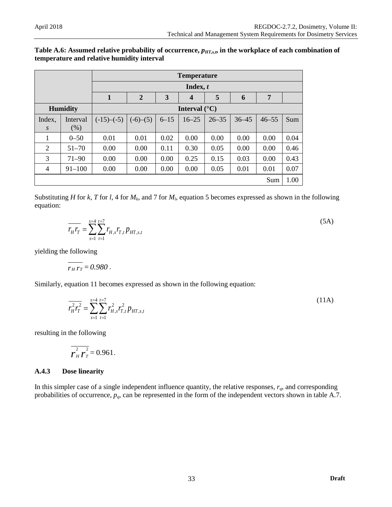| Table A.6: Assumed relative probability of occurrence, $p_{HT,s,t}$ , in the workplace of each combination of |
|---------------------------------------------------------------------------------------------------------------|
| temperature and relative humidity interval                                                                    |

|        |                 | <b>Temperature</b>     |                |          |                         |           |           |           |      |
|--------|-----------------|------------------------|----------------|----------|-------------------------|-----------|-----------|-----------|------|
|        |                 |                        |                |          | Index, t                |           |           |           |      |
|        |                 | $\mathbf{1}$           | $\overline{2}$ | 3        | $\overline{\mathbf{4}}$ | 5         | 6         | 7         |      |
|        | <b>Humidity</b> | Interval $(^{\circ}C)$ |                |          |                         |           |           |           |      |
| Index. | Interval        | $(-15)$ – $(-5)$       | $(-6)-(5)$     | $6 - 15$ | $16 - 25$               | $26 - 35$ | $36 - 45$ | $46 - 55$ | Sum  |
| S      | (% )            |                        |                |          |                         |           |           |           |      |
| 1      | $0 - 50$        | 0.01                   | 0.01           | 0.02     | 0.00                    | 0.00      | 0.00      | 0.00      | 0.04 |
| 2      | $51 - 70$       | 0.00                   | 0.00           | 0.11     | 0.30                    | 0.05      | 0.00      | 0.00      | 0.46 |
| 3      | $71 - 90$       | 0.00                   | 0.00           | 0.00     | 0.25                    | 0.15      | 0.03      | 0.00      | 0.43 |
| 4      | $91 - 100$      | 0.00                   | 0.00           | 0.00     | 0.00                    | 0.05      | 0.01      | 0.01      | 0.07 |
|        |                 |                        |                |          |                         |           |           | Sum       | 1.00 |

Substituting *H* for *k*, *T* for *l*, 4 for  $M_k$ , and 7 for  $M_l$ , equation 5 becomes expressed as shown in the following equation:

$$
\overline{r_{H}r_{T}} = \sum_{s=1}^{s=4} \sum_{t=1}^{t=7} r_{H,s}r_{T,t} p_{HT,s,t}
$$
\n(5A)

yielding the following

$$
\overline{r_{H}r_{T}}=0.980.
$$

Similarly, equation 11 becomes expressed as shown in the following equation:

$$
\overline{r_H^2 r_T^2} = \sum_{s=1}^{s=4} \sum_{t=1}^{t=7} r_{H,s}^2 r_{T,t}^2 p_{HT,s,t}
$$
\n(11A)

resulting in the following

$$
\overline{\overline{r}_H^2 \overline{r}_T^2} = 0.961.
$$

### **A.4.3 Dose linearity**

In this simpler case of a single independent influence quantity, the relative responses,  $r_q$ , and corresponding probabilities of occurrence, *pq*, can be represented in the form of the independent vectors shown in table A.7.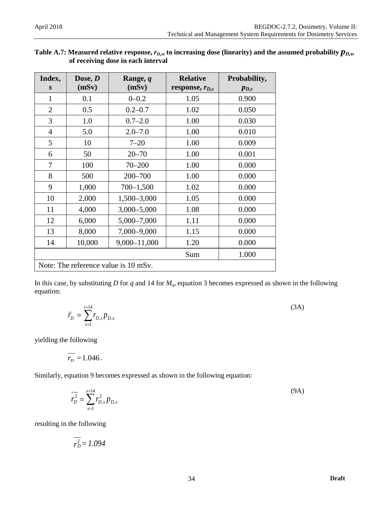| of receiving dose in each interval |                    |                                      |                                        |                           |  |
|------------------------------------|--------------------|--------------------------------------|----------------------------------------|---------------------------|--|
| Index,<br>S                        | Dose, $D$<br>(mSv) | Range, q<br>(mSv)                    | <b>Relative</b><br>response, $r_{D,s}$ | Probability,<br>$p_{D,s}$ |  |
| 1                                  | 0.1                | $0 - 0.2$                            | 1.05                                   | 0.900                     |  |
| $\overline{2}$                     | 0.5                | $0.2 - 0.7$                          | 1.02                                   | 0.050                     |  |
| 3                                  | 1.0                | $0.7 - 2.0$                          | 1.00                                   | 0.030                     |  |
| 4                                  | 5.0                | $2.0 - 7.0$                          | 1.00                                   | 0.010                     |  |
| 5                                  | 10                 | $7 - 20$                             | 1.00                                   | 0.009                     |  |
| 6                                  | 50                 | $20 - 70$                            | 1.00                                   | 0.001                     |  |
| 7                                  | 100                | $70 - 200$                           | 1.00                                   | 0.000                     |  |
| 8                                  | 500                | 200-700                              | 1.00                                   | 0.000                     |  |
| 9                                  | 1,000              | $700 - 1,500$                        | 1.02                                   | 0.000                     |  |
| 10                                 | 2,000              | 1,500-3,000                          | 1.05                                   | 0.000                     |  |
| 11                                 | 4,000              | $3,000 - 5,000$                      | 1.08                                   | 0.000                     |  |
| 12                                 | 6,000              | $5,000 - 7,000$                      | 1.11                                   | 0.000                     |  |
| 13                                 | 8,000              | 7,000-9,000                          | 1.15                                   | 0.000                     |  |
| 14                                 | 10,000             | 9,000-11,000                         | 1.20                                   | 0.000                     |  |
|                                    |                    |                                      | Sum                                    | 1.000                     |  |
|                                    |                    | Note: The reference value is 10 mSv. |                                        |                           |  |

### Table A.7: Measured relative response,  $r_{D,s}$ , to increasing dose (linearity) and the assumed probability  $p_{D,s}$ , **of receiving dose in each interval**

In this case, by substituting  $D$  for  $q$  and 14 for  $M_q$ , equation 3 becomes expressed as shown in the following equation:

$$
\bar{r}_D = \sum_{s=1}^{s=14} r_{D,s} p_{D,s} \tag{3A}
$$

yielding the following

$$
\overline{r_D}=1.046.
$$

Similarly, equation 9 becomes expressed as shown in the following equation:

$$
\overline{r_D^2} = \sum_{s=1}^{s=14} r_{D,s}^2 p_{D,s}
$$
 (9A)

resulting in the following

$$
\overline{r_D^2} = 1.094
$$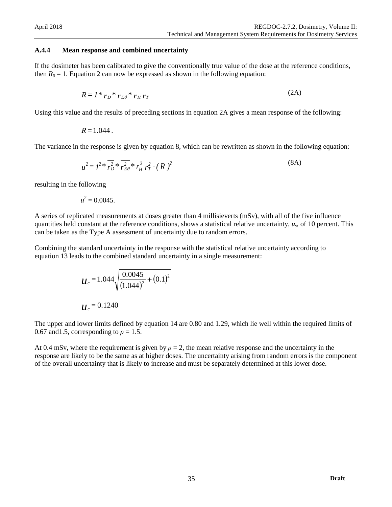#### **A.4.4 Mean response and combined uncertainty**

If the dosimeter has been calibrated to give the conventionally true value of the dose at the reference conditions, then  $R_0 = 1$ . Equation 2 can now be expressed as shown in the following equation:

$$
\overline{R} = I^* \overline{r_D}^* \overline{r_{E\theta}}^* \overline{r_{H} r_T}
$$
 (2A)

Using this value and the results of preceding sections in equation 2A gives a mean response of the following:

$$
\overline{R}=1.044.
$$

The variance in the response is given by equation 8, which can be rewritten as shown in the following equation:

$$
u^{2} = I^{2} * \overline{r_{D}^{2}} * \overline{r_{E\theta}^{2}} * \overline{r_{H}^{2} r_{T}^{2}} - (\overline{R})^{2}
$$
 (8A)

resulting in the following

$$
u^2 = 0.0045.
$$

A series of replicated measurements at doses greater than 4 millisieverts (mSv), with all of the five influence quantities held constant at the reference conditions, shows a statistical relative uncertainty, *us*, of 10 percent. This can be taken as the Type A assessment of uncertainty due to random errors.

Combining the standard uncertainty in the response with the statistical relative uncertainty according to equation 13 leads to the combined standard uncertainty in a single measurement:

$$
u_c = 1.044 \sqrt{\frac{0.0045}{(1.044)^2} + (0.1)^2}
$$
  

$$
u_c = 0.1240
$$

The upper and lower limits defined by equation 14 are 0.80 and 1.29, which lie well within the required limits of 0.67 and 1.5, corresponding to  $\rho = 1.5$ .

At 0.4 mSv, where the requirement is given by  $\rho = 2$ , the mean relative response and the uncertainty in the response are likely to be the same as at higher doses. The uncertainty arising from random errors is the component of the overall uncertainty that is likely to increase and must be separately determined at this lower dose.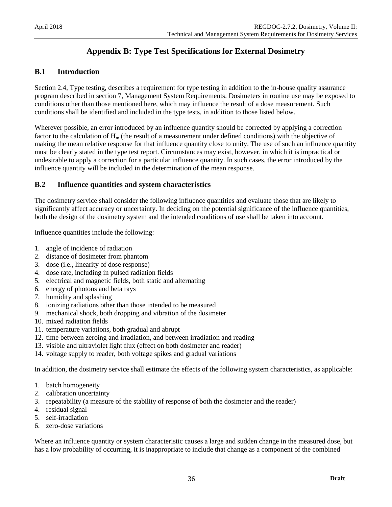# <span id="page-42-0"></span>**Appendix B: Type Test Specifications for External Dosimetry**

### <span id="page-42-1"></span>**B.1 Introduction**

Section 2.4, Type testing, describes a requirement for type testing in addition to the in-house quality assurance program described in section 7, Management System Requirements. Dosimeters in routine use may be exposed to conditions other than those mentioned here, which may influence the result of a dose measurement. Such conditions shall be identified and included in the type tests, in addition to those listed below.

Wherever possible, an error introduced by an influence quantity should be corrected by applying a correction factor to the calculation of  $H_m$  (the result of a measurement under defined conditions) with the objective of making the mean relative response for that influence quantity close to unity. The use of such an influence quantity must be clearly stated in the type test report. Circumstances may exist, however, in which it is impractical or undesirable to apply a correction for a particular influence quantity. In such cases, the error introduced by the influence quantity will be included in the determination of the mean response.

### <span id="page-42-2"></span>**B.2 Influence quantities and system characteristics**

The dosimetry service shall consider the following influence quantities and evaluate those that are likely to significantly affect accuracy or uncertainty. In deciding on the potential significance of the influence quantities, both the design of the dosimetry system and the intended conditions of use shall be taken into account.

Influence quantities include the following:

- 1. angle of incidence of radiation
- 2. distance of dosimeter from phantom
- 3. dose (i.e., linearity of dose response)
- 4. dose rate, including in pulsed radiation fields
- 5. electrical and magnetic fields, both static and alternating
- 6. energy of photons and beta rays
- 7. humidity and splashing
- 8. ionizing radiations other than those intended to be measured
- 9. mechanical shock, both dropping and vibration of the dosimeter
- 10. mixed radiation fields
- 11. temperature variations, both gradual and abrupt
- 12. time between zeroing and irradiation, and between irradiation and reading
- 13. visible and ultraviolet light flux (effect on both dosimeter and reader)
- 14. voltage supply to reader, both voltage spikes and gradual variations

In addition, the dosimetry service shall estimate the effects of the following system characteristics, as applicable:

- 1. batch homogeneity
- 2. calibration uncertainty
- 3. repeatability (a measure of the stability of response of both the dosimeter and the reader)
- 4. residual signal
- 5. self-irradiation
- 6. zero-dose variations

Where an influence quantity or system characteristic causes a large and sudden change in the measured dose, but has a low probability of occurring, it is inappropriate to include that change as a component of the combined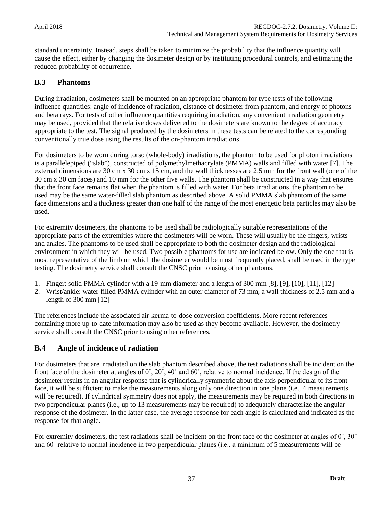standard uncertainty. Instead, steps shall be taken to minimize the probability that the influence quantity will cause the effect, either by changing the dosimeter design or by instituting procedural controls, and estimating the reduced probability of occurrence.

### <span id="page-43-0"></span>**B.3 Phantoms**

During irradiation, dosimeters shall be mounted on an appropriate phantom for type tests of the following influence quantities: angle of incidence of radiation, distance of dosimeter from phantom, and energy of photons and beta rays. For tests of other influence quantities requiring irradiation, any convenient irradiation geometry may be used, provided that the relative doses delivered to the dosimeters are known to the degree of accuracy appropriate to the test. The signal produced by the dosimeters in these tests can be related to the corresponding conventionally true dose using the results of the on-phantom irradiations.

For dosimeters to be worn during torso (whole-body) irradiations, the phantom to be used for photon irradiations is a parallelepiped ("slab"), constructed of polymethylmethacrylate (PMMA) walls and filled with water [7]. The external dimensions are 30 cm x 30 cm x 15 cm, and the wall thicknesses are 2.5 mm for the front wall (one of the 30 cm x 30 cm faces) and 10 mm for the other five walls. The phantom shall be constructed in a way that ensures that the front face remains flat when the phantom is filled with water. For beta irradiations, the phantom to be used may be the same water-filled slab phantom as described above. A solid PMMA slab phantom of the same face dimensions and a thickness greater than one half of the range of the most energetic beta particles may also be used.

For extremity dosimeters, the phantoms to be used shall be radiologically suitable representations of the appropriate parts of the extremities where the dosimeters will be worn. These will usually be the fingers, wrists and ankles. The phantoms to be used shall be appropriate to both the dosimeter design and the radiological environment in which they will be used. Two possible phantoms for use are indicated below. Only the one that is most representative of the limb on which the dosimeter would be most frequently placed, shall be used in the type testing. The dosimetry service shall consult the CNSC prior to using other phantoms.

- 1. Finger: solid PMMA cylinder with a 19-mm diameter and a length of 300 mm [8], [9], [10], [11], [12]
- 2. Wrist/ankle: water-filled PMMA cylinder with an outer diameter of 73 mm, a wall thickness of 2.5 mm and a length of 300 mm [12]

The references include the associated air-kerma-to-dose conversion coefficients. More recent references containing more up-to-date information may also be used as they become available. However, the dosimetry service shall consult the CNSC prior to using other references.

### <span id="page-43-1"></span>**B.4 Angle of incidence of radiation**

For dosimeters that are irradiated on the slab phantom described above, the test radiations shall be incident on the front face of the dosimeter at angles of 0˚, 20˚, 40˚ and 60˚, relative to normal incidence. If the design of the dosimeter results in an angular response that is cylindrically symmetric about the axis perpendicular to its front face, it will be sufficient to make the measurements along only one direction in one plane (i.e., 4 measurements will be required). If cylindrical symmetry does not apply, the measurements may be required in both directions in two perpendicular planes (i.e., up to 13 measurements may be required) to adequately characterize the angular response of the dosimeter. In the latter case, the average response for each angle is calculated and indicated as the response for that angle.

For extremity dosimeters, the test radiations shall be incident on the front face of the dosimeter at angles of  $0^\circ$ ,  $30^\circ$ and 60˚ relative to normal incidence in two perpendicular planes (i.e., a minimum of 5 measurements will be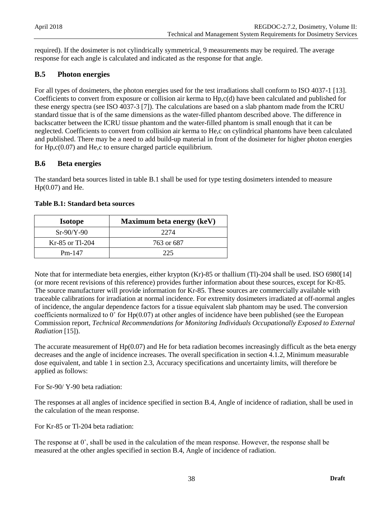required). If the dosimeter is not cylindrically symmetrical, 9 measurements may be required. The average response for each angle is calculated and indicated as the response for that angle.

### <span id="page-44-0"></span>**B.5 Photon energies**

For all types of dosimeters, the photon energies used for the test irradiations shall conform to ISO 4037-1 [13]. Coefficients to convert from exposure or collision air kerma to Hp,c(d) have been calculated and published for these energy spectra (see ISO 4037-3 [7]). The calculations are based on a slab phantom made from the ICRU standard tissue that is of the same dimensions as the water-filled phantom described above. The difference in backscatter between the ICRU tissue phantom and the water-filled phantom is small enough that it can be neglected. Coefficients to convert from collision air kerma to He,c on cylindrical phantoms have been calculated and published. There may be a need to add build-up material in front of the dosimeter for higher photon energies for  $Hp,c(0.07)$  and  $He,c$  to ensure charged particle equilibrium.

### <span id="page-44-1"></span>**B.6 Beta energies**

The standard beta sources listed in table B.1 shall be used for type testing dosimeters intended to measure  $Hp(0.07)$  and He.

| <b>Isotope</b>    | Maximum beta energy (keV) |
|-------------------|---------------------------|
| $Sr-90/Y-90$      | 2274                      |
| $Kr-85$ or Tl-204 | 763 or 687                |
| $Pm-147$          | 225                       |

### **Table B.1: Standard beta sources**

Note that for intermediate beta energies, either krypton (Kr)-85 or thallium (Tl)-204 shall be used. ISO 6980[14] (or more recent revisions of this reference) provides further information about these sources, except for Kr-85. The source manufacturer will provide information for Kr-85. These sources are commercially available with traceable calibrations for irradiation at normal incidence. For extremity dosimeters irradiated at off-normal angles of incidence, the angular dependence factors for a tissue equivalent slab phantom may be used. The conversion coefficients normalized to 0˚ for Hp(0.07) at other angles of incidence have been published (see the European Commission report, *Technical Recommendations for Monitoring Individuals Occupationally Exposed to External Radiation* [15]).

The accurate measurement of  $Hp(0.07)$  and He for beta radiation becomes increasingly difficult as the beta energy decreases and the angle of incidence increases. The overall specification in section 4.1.2, Minimum measurable dose equivalent, and table 1 in section 2.3, Accuracy specifications and uncertainty limits, will therefore be applied as follows:

For Sr-90/ Y-90 beta radiation:

The responses at all angles of incidence specified in section B.4, Angle of incidence of radiation, shall be used in the calculation of the mean response.

For Kr-85 or Tl-204 beta radiation:

The response at  $0^\circ$ , shall be used in the calculation of the mean response. However, the response shall be measured at the other angles specified in section B.4, Angle of incidence of radiation.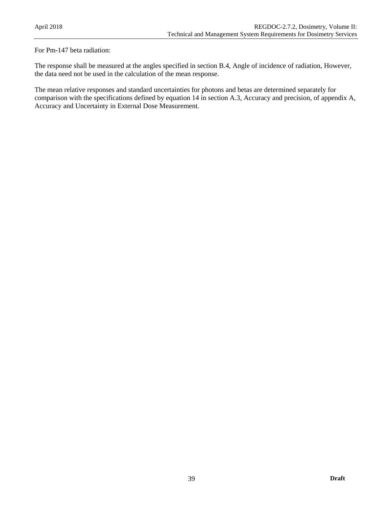For Pm-147 beta radiation:

The response shall be measured at the angles specified in section B.4, Angle of incidence of radiation, However, the data need not be used in the calculation of the mean response.

The mean relative responses and standard uncertainties for photons and betas are determined separately for comparison with the specifications defined by equation 14 in section A.3, Accuracy and precision, of appendix A, Accuracy and Uncertainty in External Dose Measurement.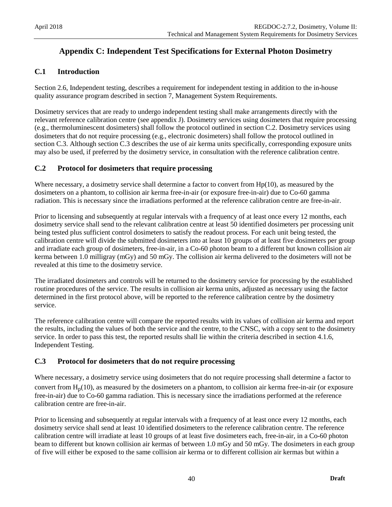# <span id="page-46-0"></span>**Appendix C: Independent Test Specifications for External Photon Dosimetry**

### <span id="page-46-1"></span>**C.1 Introduction**

Section 2.6, Independent testing, describes a requirement for independent testing in addition to the in-house quality assurance program described in section 7, Management System Requirements.

Dosimetry services that are ready to undergo independent testing shall make arrangements directly with the relevant reference calibration centre (see appendix J). Dosimetry services using dosimeters that require processing (e.g., thermoluminescent dosimeters) shall follow the protocol outlined in section C.2. Dosimetry services using dosimeters that do not require processing (e.g., electronic dosimeters) shall follow the protocol outlined in section C.3. Although section C.3 describes the use of air kerma units specifically, corresponding exposure units may also be used, if preferred by the dosimetry service, in consultation with the reference calibration centre.

### <span id="page-46-2"></span>**C.2 Protocol for dosimeters that require processing**

Where necessary, a dosimetry service shall determine a factor to convert from Hp(10), as measured by the dosimeters on a phantom, to collision air kerma free-in-air (or exposure free-in-air) due to Co-60 gamma radiation. This is necessary since the irradiations performed at the reference calibration centre are free-in-air.

Prior to licensing and subsequently at regular intervals with a frequency of at least once every 12 months, each dosimetry service shall send to the relevant calibration centre at least 50 identified dosimeters per processing unit being tested plus sufficient control dosimeters to satisfy the readout process. For each unit being tested, the calibration centre will divide the submitted dosimeters into at least 10 groups of at least five dosimeters per group and irradiate each group of dosimeters, free-in-air, in a Co-60 photon beam to a different but known collision air kerma between 1.0 milligray (mGy) and 50 mGy. The collision air kerma delivered to the dosimeters will not be revealed at this time to the dosimetry service.

The irradiated dosimeters and controls will be returned to the dosimetry service for processing by the established routine procedures of the service. The results in collision air kerma units, adjusted as necessary using the factor determined in the first protocol above, will be reported to the reference calibration centre by the dosimetry service.

The reference calibration centre will compare the reported results with its values of collision air kerma and report the results, including the values of both the service and the centre, to the CNSC, with a copy sent to the dosimetry service. In order to pass this test, the reported results shall lie within the criteria described in section 4.1.6, Independent Testing.

### <span id="page-46-3"></span>**C.3 Protocol for dosimeters that do not require processing**

Where necessary, a dosimetry service using dosimeters that do not require processing shall determine a factor to convert from  $H_p(10)$ , as measured by the dosimeters on a phantom, to collision air kerma free-in-air (or exposure free-in-air) due to Co-60 gamma radiation. This is necessary since the irradiations performed at the reference calibration centre are free-in-air.

Prior to licensing and subsequently at regular intervals with a frequency of at least once every 12 months, each dosimetry service shall send at least 10 identified dosimeters to the reference calibration centre. The reference calibration centre will irradiate at least 10 groups of at least five dosimeters each, free-in-air, in a Co-60 photon beam to different but known collision air kermas of between 1.0 mGy and 50 mGy. The dosimeters in each group of five will either be exposed to the same collision air kerma or to different collision air kermas but within a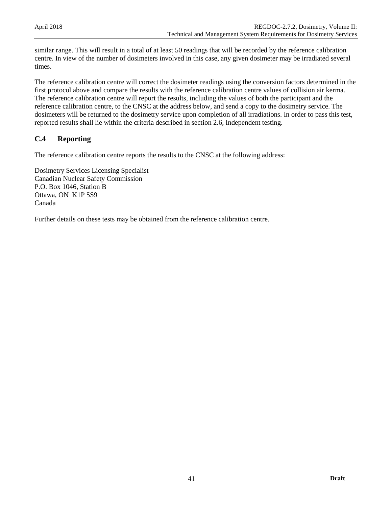similar range. This will result in a total of at least 50 readings that will be recorded by the reference calibration centre. In view of the number of dosimeters involved in this case, any given dosimeter may be irradiated several times.

The reference calibration centre will correct the dosimeter readings using the conversion factors determined in the first protocol above and compare the results with the reference calibration centre values of collision air kerma. The reference calibration centre will report the results, including the values of both the participant and the reference calibration centre, to the CNSC at the address below, and send a copy to the dosimetry service. The dosimeters will be returned to the dosimetry service upon completion of all irradiations. In order to pass this test, reported results shall lie within the criteria described in section 2.6, Independent testing.

### <span id="page-47-0"></span>**C.4 Reporting**

The reference calibration centre reports the results to the CNSC at the following address:

Dosimetry Services Licensing Specialist Canadian Nuclear Safety Commission P.O. Box 1046, Station B Ottawa, ON K1P 5S9 Canada

Further details on these tests may be obtained from the reference calibration centre.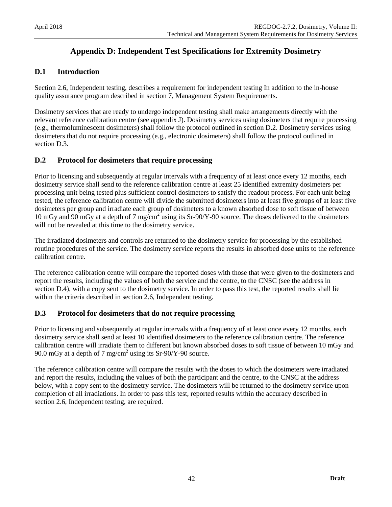# <span id="page-48-0"></span>**Appendix D: Independent Test Specifications for Extremity Dosimetry**

### <span id="page-48-1"></span>**D.1 Introduction**

Section 2.6, Independent testing, describes a requirement for independent testing In addition to the in-house quality assurance program described in section 7, Management System Requirements.

Dosimetry services that are ready to undergo independent testing shall make arrangements directly with the relevant reference calibration centre (see appendix J). Dosimetry services using dosimeters that require processing (e.g., thermoluminescent dosimeters) shall follow the protocol outlined in section D.2. Dosimetry services using dosimeters that do not require processing (e.g., electronic dosimeters) shall follow the protocol outlined in section D.3.

### <span id="page-48-2"></span>**D.2 Protocol for dosimeters that require processing**

Prior to licensing and subsequently at regular intervals with a frequency of at least once every 12 months, each dosimetry service shall send to the reference calibration centre at least 25 identified extremity dosimeters per processing unit being tested plus sufficient control dosimeters to satisfy the readout process. For each unit being tested, the reference calibration centre will divide the submitted dosimeters into at least five groups of at least five dosimeters per group and irradiate each group of dosimeters to a known absorbed dose to soft tissue of between 10 mGy and 90 mGy at a depth of 7 mg/cm<sup>2</sup> using its Sr-90/Y-90 source. The doses delivered to the dosimeters will not be revealed at this time to the dosimetry service.

The irradiated dosimeters and controls are returned to the dosimetry service for processing by the established routine procedures of the service. The dosimetry service reports the results in absorbed dose units to the reference calibration centre.

The reference calibration centre will compare the reported doses with those that were given to the dosimeters and report the results, including the values of both the service and the centre, to the CNSC (see the address in section D.4), with a copy sent to the dosimetry service. In order to pass this test, the reported results shall lie within the criteria described in section 2.6, Independent testing.

### <span id="page-48-3"></span>**D.3 Protocol for dosimeters that do not require processing**

Prior to licensing and subsequently at regular intervals with a frequency of at least once every 12 months, each dosimetry service shall send at least 10 identified dosimeters to the reference calibration centre. The reference calibration centre will irradiate them to different but known absorbed doses to soft tissue of between 10 mGy and 90.0 mGy at a depth of  $7 \text{ mg/cm}^2$  using its Sr-90/Y-90 source.

The reference calibration centre will compare the results with the doses to which the dosimeters were irradiated and report the results, including the values of both the participant and the centre, to the CNSC at the address below, with a copy sent to the dosimetry service. The dosimeters will be returned to the dosimetry service upon completion of all irradiations. In order to pass this test, reported results within the accuracy described in section 2.6, Independent testing, are required.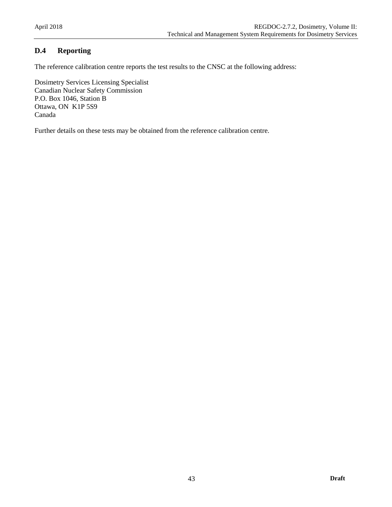# <span id="page-49-0"></span>**D.4 Reporting**

The reference calibration centre reports the test results to the CNSC at the following address:

Dosimetry Services Licensing Specialist Canadian Nuclear Safety Commission P.O. Box 1046, Station B Ottawa, ON K1P 5S9 Canada

Further details on these tests may be obtained from the reference calibration centre.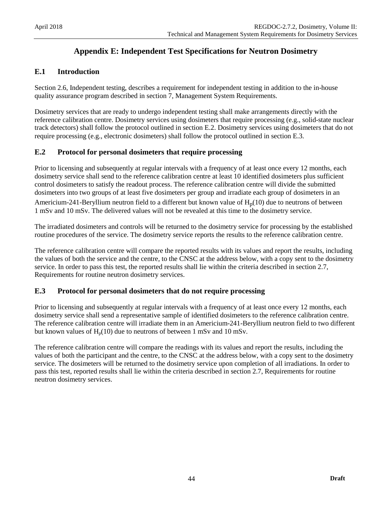# <span id="page-50-0"></span>**Appendix E: Independent Test Specifications for Neutron Dosimetry**

### <span id="page-50-1"></span>**E.1 Introduction**

Section 2.6, Independent testing, describes a requirement for independent testing in addition to the in-house quality assurance program described in section 7, Management System Requirements.

Dosimetry services that are ready to undergo independent testing shall make arrangements directly with the reference calibration centre. Dosimetry services using dosimeters that require processing (e.g., solid-state nuclear track detectors) shall follow the protocol outlined in section E.2. Dosimetry services using dosimeters that do not require processing (e.g., electronic dosimeters) shall follow the protocol outlined in section E.3.

### <span id="page-50-2"></span>**E.2 Protocol for personal dosimeters that require processing**

Prior to licensing and subsequently at regular intervals with a frequency of at least once every 12 months, each dosimetry service shall send to the reference calibration centre at least 10 identified dosimeters plus sufficient control dosimeters to satisfy the readout process. The reference calibration centre will divide the submitted dosimeters into two groups of at least five dosimeters per group and irradiate each group of dosimeters in an Americium-241-Beryllium neutron field to a different but known value of  $H_p(10)$  due to neutrons of between 1 mSv and 10 mSv. The delivered values will not be revealed at this time to the dosimetry service.

The irradiated dosimeters and controls will be returned to the dosimetry service for processing by the established routine procedures of the service. The dosimetry service reports the results to the reference calibration centre.

The reference calibration centre will compare the reported results with its values and report the results, including the values of both the service and the centre, to the CNSC at the address below, with a copy sent to the dosimetry service. In order to pass this test, the reported results shall lie within the criteria described in section 2.7, Requirements for routine neutron dosimetry services.

### <span id="page-50-3"></span>**E.3 Protocol for personal dosimeters that do not require processing**

Prior to licensing and subsequently at regular intervals with a frequency of at least once every 12 months, each dosimetry service shall send a representative sample of identified dosimeters to the reference calibration centre. The reference calibration centre will irradiate them in an Americium-241-Beryllium neutron field to two different but known values of  $H_p(10)$  due to neutrons of between 1 mSv and 10 mSv.

The reference calibration centre will compare the readings with its values and report the results, including the values of both the participant and the centre, to the CNSC at the address below, with a copy sent to the dosimetry service. The dosimeters will be returned to the dosimetry service upon completion of all irradiations. In order to pass this test, reported results shall lie within the criteria described in section 2.7, Requirements for routine neutron dosimetry services.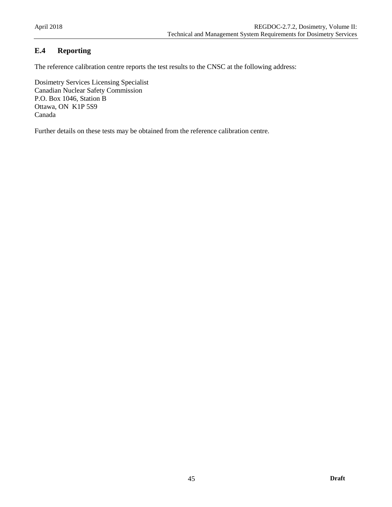# <span id="page-51-0"></span>**E.4 Reporting**

The reference calibration centre reports the test results to the CNSC at the following address:

Dosimetry Services Licensing Specialist Canadian Nuclear Safety Commission P.O. Box 1046, Station B Ottawa, ON K1P 5S9 Canada

Further details on these tests may be obtained from the reference calibration centre.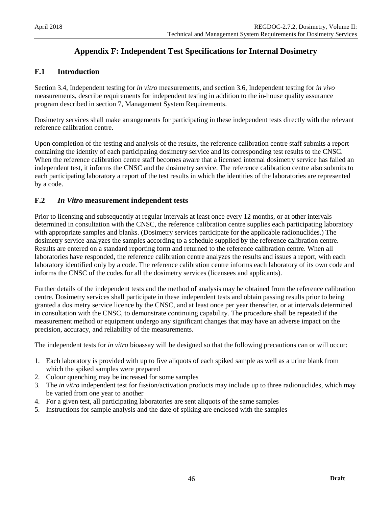# <span id="page-52-0"></span>**Appendix F: Independent Test Specifications for Internal Dosimetry**

### <span id="page-52-1"></span>**F.1 Introduction**

Section 3.4, Independent testing for *in vitro* measurements, and section 3.6, Independent testing for *in vivo* measurements, describe requirements for independent testing in addition to the in-house quality assurance program described in section 7, Management System Requirements.

Dosimetry services shall make arrangements for participating in these independent tests directly with the relevant reference calibration centre.

Upon completion of the testing and analysis of the results, the reference calibration centre staff submits a report containing the identity of each participating dosimetry service and its corresponding test results to the CNSC. When the reference calibration centre staff becomes aware that a licensed internal dosimetry service has failed an independent test, it informs the CNSC and the dosimetry service. The reference calibration centre also submits to each participating laboratory a report of the test results in which the identities of the laboratories are represented by a code.

### <span id="page-52-2"></span>**F.2** *In Vitro* **measurement independent tests**

Prior to licensing and subsequently at regular intervals at least once every 12 months, or at other intervals determined in consultation with the CNSC, the reference calibration centre supplies each participating laboratory with appropriate samples and blanks. (Dosimetry services participate for the applicable radionuclides.) The dosimetry service analyzes the samples according to a schedule supplied by the reference calibration centre. Results are entered on a standard reporting form and returned to the reference calibration centre. When all laboratories have responded, the reference calibration centre analyzes the results and issues a report, with each laboratory identified only by a code. The reference calibration centre informs each laboratory of its own code and informs the CNSC of the codes for all the dosimetry services (licensees and applicants).

Further details of the independent tests and the method of analysis may be obtained from the reference calibration centre. Dosimetry services shall participate in these independent tests and obtain passing results prior to being granted a dosimetry service licence by the CNSC, and at least once per year thereafter, or at intervals determined in consultation with the CNSC, to demonstrate continuing capability. The procedure shall be repeated if the measurement method or equipment undergo any significant changes that may have an adverse impact on the precision, accuracy, and reliability of the measurements.

The independent tests for *in vitro* bioassay will be designed so that the following precautions can or will occur:

- 1. Each laboratory is provided with up to five aliquots of each spiked sample as well as a urine blank from which the spiked samples were prepared
- 2. Colour quenching may be increased for some samples
- 3. The *in vitro* independent test for fission/activation products may include up to three radionuclides, which may be varied from one year to another
- 4. For a given test, all participating laboratories are sent aliquots of the same samples
- 5. Instructions for sample analysis and the date of spiking are enclosed with the samples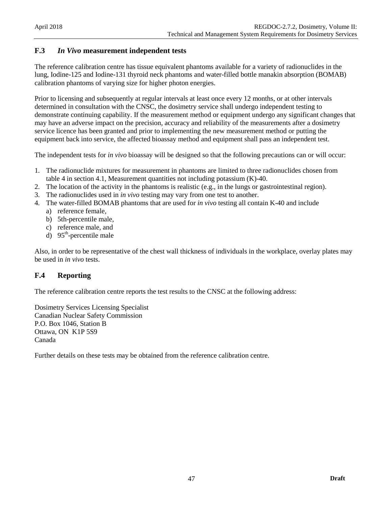### <span id="page-53-0"></span>**F.3** *In Vivo* **measurement independent tests**

The reference calibration centre has tissue equivalent phantoms available for a variety of radionuclides in the lung, Iodine-125 and Iodine-131 thyroid neck phantoms and water-filled bottle manakin absorption (BOMAB) calibration phantoms of varying size for higher photon energies.

Prior to licensing and subsequently at regular intervals at least once every 12 months, or at other intervals determined in consultation with the CNSC, the dosimetry service shall undergo independent testing to demonstrate continuing capability. If the measurement method or equipment undergo any significant changes that may have an adverse impact on the precision, accuracy and reliability of the measurements after a dosimetry service licence has been granted and prior to implementing the new measurement method or putting the equipment back into service, the affected bioassay method and equipment shall pass an independent test.

The independent tests for *in vivo* bioassay will be designed so that the following precautions can or will occur:

- 1. The radionuclide mixtures for measurement in phantoms are limited to three radionuclides chosen from table 4 in section 4.1, Measurement quantities not including potassium (K)-40.
- 2. The location of the activity in the phantoms is realistic (e.g., in the lungs or gastrointestinal region).
- 3. The radionuclides used in *in vivo* testing may vary from one test to another.
- 4. The water-filled BOMAB phantoms that are used for *in vivo* testing all contain K-40 and include
	- a) reference female,
	- b) 5th-percentile male,
	- c) reference male, and
	- d)  $95<sup>th</sup>$ -percentile male

Also, in order to be representative of the chest wall thickness of individuals in the workplace, overlay plates may be used in *in vivo* tests.

### <span id="page-53-1"></span>**F.4 Reporting**

The reference calibration centre reports the test results to the CNSC at the following address:

Dosimetry Services Licensing Specialist Canadian Nuclear Safety Commission P.O. Box 1046, Station B Ottawa, ON K1P 5S9 Canada

Further details on these tests may be obtained from the reference calibration centre.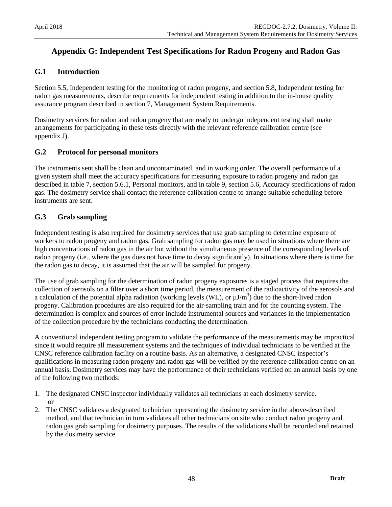# <span id="page-54-0"></span>**Appendix G: Independent Test Specifications for Radon Progeny and Radon Gas**

### <span id="page-54-1"></span>**G.1 Introduction**

Section 5.5, Independent testing for the monitoring of radon progeny, and section 5.8, Independent testing for radon gas measurements, describe requirements for independent testing in addition to the in-house quality assurance program described in section 7, Management System Requirements.

Dosimetry services for radon and radon progeny that are ready to undergo independent testing shall make arrangements for participating in these tests directly with the relevant reference calibration centre (see appendix J).

### <span id="page-54-2"></span>**G.2 Protocol for personal monitors**

The instruments sent shall be clean and uncontaminated, and in working order. The overall performance of a given system shall meet the accuracy specifications for measuring exposure to radon progeny and radon gas described in table 7, section 5.6.1, Personal monitors, and in table 9, section 5.6, Accuracy specifications of radon gas. The dosimetry service shall contact the reference calibration centre to arrange suitable scheduling before instruments are sent.

### <span id="page-54-3"></span>**G.3 Grab sampling**

Independent testing is also required for dosimetry services that use grab sampling to determine exposure of workers to radon progeny and radon gas. Grab sampling for radon gas may be used in situations where there are high concentrations of radon gas in the air but without the simultaneous presence of the corresponding levels of radon progeny (i.e., where the gas does not have time to decay significantly). In situations where there is time for the radon gas to decay, it is assumed that the air will be sampled for progeny.

The use of grab sampling for the determination of radon progeny exposures is a staged process that requires the collection of aerosols on a filter over a short time period, the measurement of the radioactivity of the aerosols and a calculation of the potential alpha radiation (working levels (WL), or  $\mu J/m^3$ ) due to the short-lived radon progeny. Calibration procedures are also required for the air-sampling train and for the counting system. The determination is complex and sources of error include instrumental sources and variances in the implementation of the collection procedure by the technicians conducting the determination.

A conventional independent testing program to validate the performance of the measurements may be impractical since it would require all measurement systems and the techniques of individual technicians to be verified at the CNSC reference calibration facility on a routine basis. As an alternative, a designated CNSC inspector's qualifications in measuring radon progeny and radon gas will be verified by the reference calibration centre on an annual basis. Dosimetry services may have the performance of their technicians verified on an annual basis by one of the following two methods:

- 1. The designated CNSC inspector individually validates all technicians at each dosimetry service. or
- 2. The CNSC validates a designated technician representing the dosimetry service in the above-described method, and that technician in turn validates all other technicians on site who conduct radon progeny and radon gas grab sampling for dosimetry purposes. The results of the validations shall be recorded and retained by the dosimetry service.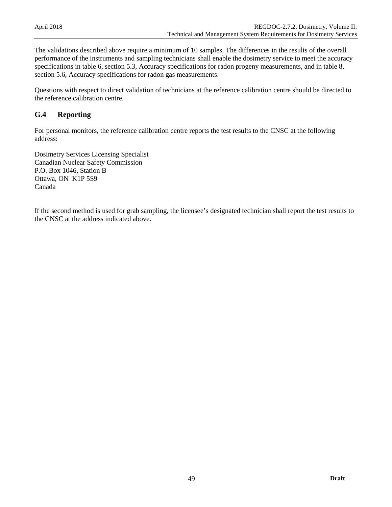The validations described above require a minimum of 10 samples. The differences in the results of the overall performance of the instruments and sampling technicians shall enable the dosimetry service to meet the accuracy specifications in table 6, section 5.3, Accuracy specifications for radon progeny measurements, and in table 8, section 5.6, Accuracy specifications for radon gas measurements.

Questions with respect to direct validation of technicians at the reference calibration centre should be directed to the reference calibration centre.

### <span id="page-55-0"></span>**G.4 Reporting**

For personal monitors, the reference calibration centre reports the test results to the CNSC at the following address:

Dosimetry Services Licensing Specialist Canadian Nuclear Safety Commission P.O. Box 1046, Station B Ottawa, ON K1P 5S9 Canada

If the second method is used for grab sampling, the licensee's designated technician shall report the test results to the CNSC at the address indicated above.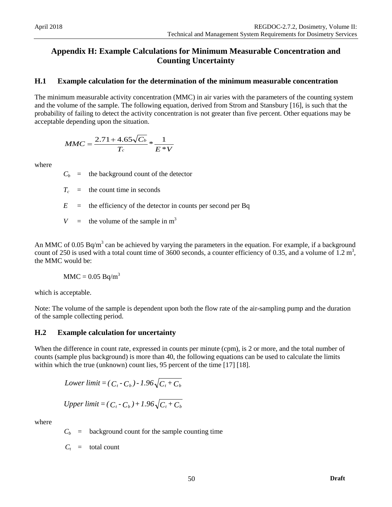# <span id="page-56-0"></span>**Appendix H: Example Calculations for Minimum Measurable Concentration and Counting Uncertainty**

### <span id="page-56-1"></span>**H.1 Example calculation for the determination of the minimum measurable concentration**

The minimum measurable activity concentration (MMC) in air varies with the parameters of the counting system and the volume of the sample. The following equation, derived from Strom and Stansbury [16], is such that the probability of failing to detect the activity concentration is not greater than five percent. Other equations may be acceptable depending upon the situation.

$$
MMC = \frac{2.71 + 4.65\sqrt{C_b}}{T_c} * \frac{1}{E*V}
$$

where

 $C_b$  = the background count of the detector

 $T_c$  = the count time in seconds

 $E$  = the efficiency of the detector in counts per second per Bq

*V* = the volume of the sample in  $m<sup>3</sup>$ 

An MMC of 0.05 Bq/m<sup>3</sup> can be achieved by varying the parameters in the equation. For example, if a background count of 250 is used with a total count time of 3600 seconds, a counter efficiency of 0.35, and a volume of  $1.2 \text{ m}^3$ , the MMC would be:

$$
MMC = 0.05 Bq/m^3
$$

which is acceptable.

Note: The volume of the sample is dependent upon both the flow rate of the air-sampling pump and the duration of the sample collecting period.

### <span id="page-56-2"></span>**H.2 Example calculation for uncertainty**

When the difference in count rate, expressed in counts per minute (cpm), is 2 or more, and the total number of counts (sample plus background) is more than 40, the following equations can be used to calculate the limits within which the true (unknown) count lies, 95 percent of the time [17] [18].

Lower limit = 
$$
(C_t - C_b) - 1.96\sqrt{C_t + C_b}
$$

Upper limit = 
$$
(C_t - C_b) + 1.96\sqrt{C_t + C_b}
$$

where

 $C_b$  = background count for the sample counting time

 $C_t$  = total count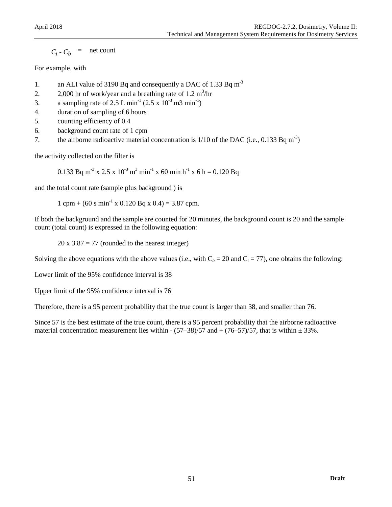$C_t$  -  $C_b$  = net count

### For example, with

- 1. an ALI value of 3190 Bq and consequently a DAC of 1.33 Bq m<sup>-3</sup>
- 2.  $2,000$  hr of work/year and a breathing rate of 1.2 m<sup>3</sup>/hr
- 3. a sampling rate of 2.5 L min<sup>-1</sup> (2.5 x  $10^{-3}$  m3 min<sup>-1</sup>)
- 4. duration of sampling of 6 hours
- 5. counting efficiency of 0.4
- 6. background count rate of 1 cpm
- 7. the airborne radioactive material concentration is  $1/10$  of the DAC (i.e., 0.133 Bq m<sup>-3</sup>)

the activity collected on the filter is

0.133 Bq m<sup>-3</sup> x 2.5 x 10<sup>-3</sup> m<sup>3</sup> min<sup>-1</sup> x 60 min h<sup>-1</sup> x 6 h = 0.120 Bq

and the total count rate (sample plus background ) is

 $1$  cpm + (60 s min<sup>-1</sup> x 0.120 Bq x 0.4) = 3.87 cpm.

If both the background and the sample are counted for 20 minutes, the background count is 20 and the sample count (total count) is expressed in the following equation:

 $20 \times 3.87 = 77$  (rounded to the nearest integer)

Solving the above equations with the above values (i.e., with  $C_b = 20$  and  $C_t = 77$ ), one obtains the following:

Lower limit of the 95% confidence interval is 38

Upper limit of the 95% confidence interval is 76

Therefore, there is a 95 percent probability that the true count is larger than 38, and smaller than 76.

Since 57 is the best estimate of the true count, there is a 95 percent probability that the airborne radioactive material concentration measurement lies within  $-(57-38)/57$  and  $+(76-57)/57$ , that is within  $\pm 33\%$ .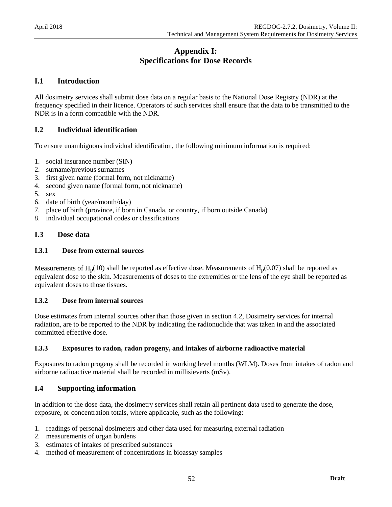# **Appendix I: Specifications for Dose Records**

### <span id="page-58-1"></span><span id="page-58-0"></span>**I.1 Introduction**

All dosimetry services shall submit dose data on a regular basis to the National Dose Registry (NDR) at the frequency specified in their licence. Operators of such services shall ensure that the data to be transmitted to the NDR is in a form compatible with the NDR.

### <span id="page-58-2"></span>**I.2 Individual identification**

To ensure unambiguous individual identification, the following minimum information is required:

- 1. social insurance number (SIN)
- 2. surname/previous surnames
- 3. first given name (formal form, not nickname)
- 4. second given name (formal form, not nickname)
- 5. sex
- 6. date of birth (year/month/day)
- 7. place of birth (province, if born in Canada, or country, if born outside Canada)
- <span id="page-58-3"></span>8. individual occupational codes or classifications

### **I.3 Dose data**

#### **I.3.1 Dose from external sources**

Measurements of  $H_p(10)$  shall be reported as effective dose. Measurements of  $H_p(0.07)$  shall be reported as equivalent dose to the skin. Measurements of doses to the extremities or the lens of the eye shall be reported as equivalent doses to those tissues.

#### **I.3.2 Dose from internal sources**

Dose estimates from internal sources other than those given in section 4.2, Dosimetry services for internal radiation, are to be reported to the NDR by indicating the radionuclide that was taken in and the associated committed effective dose.

#### **I.3.3 Exposures to radon, radon progeny, and intakes of airborne radioactive material**

Exposures to radon progeny shall be recorded in working level months (WLM). Doses from intakes of radon and airborne radioactive material shall be recorded in millisieverts (mSv).

### <span id="page-58-4"></span>**I.4 Supporting information**

In addition to the dose data, the dosimetry services shall retain all pertinent data used to generate the dose, exposure, or concentration totals, where applicable, such as the following:

- 1. readings of personal dosimeters and other data used for measuring external radiation
- 2. measurements of organ burdens
- 3. estimates of intakes of prescribed substances
- 4. method of measurement of concentrations in bioassay samples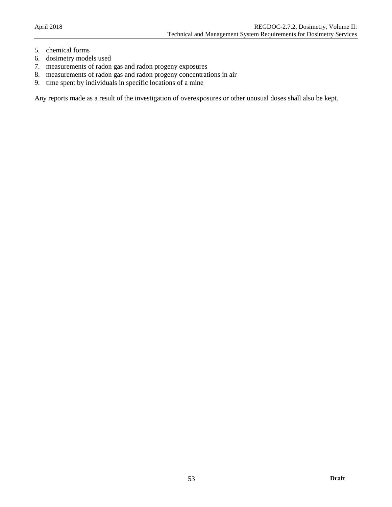- 5. chemical forms
- 6. dosimetry models used
- 7. measurements of radon gas and radon progeny exposures
- 8. measurements of radon gas and radon progeny concentrations in air
- 9. time spent by individuals in specific locations of a mine

Any reports made as a result of the investigation of overexposures or other unusual doses shall also be kept.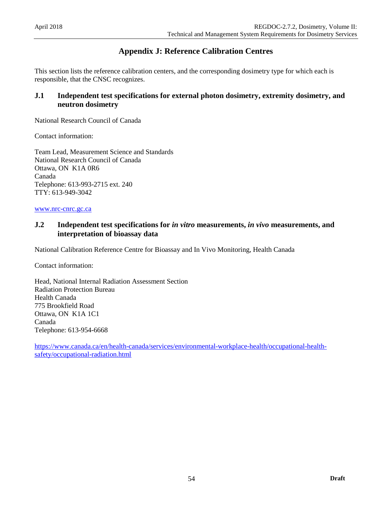# <span id="page-60-0"></span>**Appendix J: Reference Calibration Centres**

This section lists the reference calibration centers, and the corresponding dosimetry type for which each is responsible, that the CNSC recognizes.

### <span id="page-60-1"></span>**J.1 Independent test specifications for external photon dosimetry, extremity dosimetry, and neutron dosimetry**

National Research Council of Canada

Contact information:

Team Lead, Measurement Science and Standards National Research Council of Canada Ottawa, ON K1A 0R6 Canada Telephone: 613-993-2715 ext. 240 TTY: 613-949-3042

<span id="page-60-2"></span>[www.nrc-cnrc.gc.ca](http://www.nrc-cnrc.gc.ca/)

### **J.2 Independent test specifications for** *in vitro* **measurements,** *in vivo* **measurements, and interpretation of bioassay data**

National Calibration Reference Centre for Bioassay and In Vivo Monitoring, Health Canada

Contact information:

Head, National Internal Radiation Assessment Section Radiation Protection Bureau Health Canada 775 Brookfield Road Ottawa, ON K1A 1C1 Canada Telephone: 613-954-6668

[https://www.canada.ca/en/health-canada/services/environmental-workplace-health/occupational-health](https://www.canada.ca/en/health-canada/services/environmental-workplace-health/occupational-health-safety/occupational-radiation.html)[safety/occupational-radiation.html](https://www.canada.ca/en/health-canada/services/environmental-workplace-health/occupational-health-safety/occupational-radiation.html)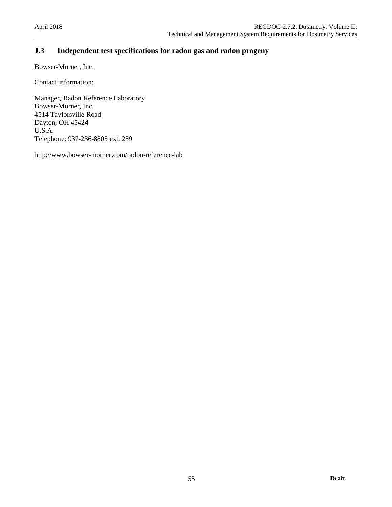# <span id="page-61-0"></span>**J.3 Independent test specifications for radon gas and radon progeny**

Bowser-Morner, Inc.

Contact information:

Manager, Radon Reference Laboratory Bowser-Morner, Inc. 4514 Taylorsville Road Dayton, OH 45424 U.S.A. Telephone: 937-236-8805 ext. 259

http://www.bowser-morner.com/radon-reference-lab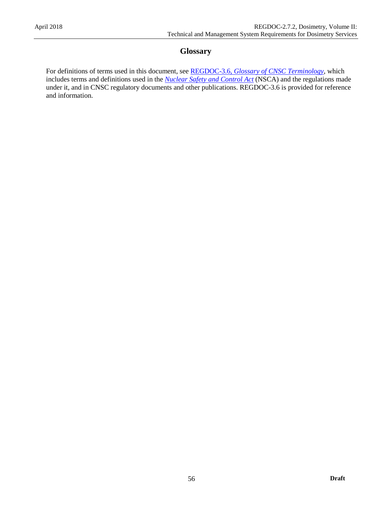### **Glossary**

<span id="page-62-0"></span>For definitions of terms used in this document, see REGDOC-3.6, *[Glossary of CNSC Terminology](http://www.nuclearsafety.gc.ca/pubs_catalogue/uploads/REGDOC-3-6-Glossary-of-CNSC-Terminology-eng.pdf)*, which includes terms and definitions used in the *[Nuclear Safety and Control Act](http://laws-lois.justice.gc.ca/eng/acts/N-28.3/)* (NSCA) and the regulations made under it, and in CNSC regulatory documents and other publications. REGDOC-3.6 is provided for reference and information.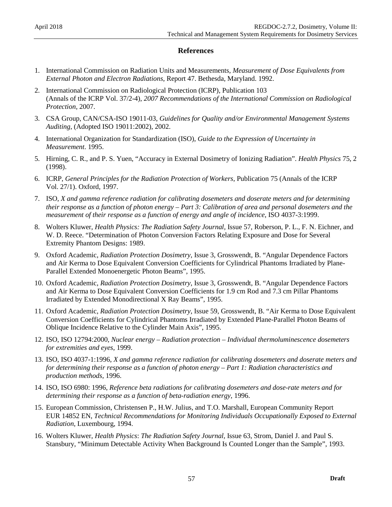### **References**

- <span id="page-63-0"></span>1. International Commission on Radiation Units and Measurements, *Measurement of Dose Equivalents from External Photon and Electron Radiations*, Report 47. Bethesda, Maryland. 1992.
- 2. International Commission on Radiological Protection (ICRP), Publication 103 (Annals of the ICRP Vol. 37/2-4), *2007 Recommendations of the International Commission on Radiological Protection,* 2007.
- 3. CSA Group, CAN/CSA-ISO 19011-03, *Guidelines for Quality and/or Environmental Management Systems Auditing*, (Adopted ISO 19011:2002), 2002.
- 4. International Organization for Standardization (ISO), *Guide to the Expression of Uncertainty in Measurement*. 1995.
- 5. Hirning, C. R., and P. S. Yuen, "Accuracy in External Dosimetry of Ionizing Radiation". *Health Physics* 75, 2 (1998).
- 6. ICRP, *General Principles for the Radiation Protection of Workers*, Publication 75 (Annals of the ICRP Vol. 27/1). Oxford, 1997.
- 7. ISO, *X and gamma reference radiation for calibrating dosemeters and doserate meters and for determining their response as a function of photon energy* – *Part 3: Calibration of area and personal dosemeters and the measurement of their response as a function of energy and angle of incidence*, ISO 4037-3:1999.
- 8. Wolters Kluwer, *Health Physics: The Radiation Safety Journal,* Issue 57, Roberson, P. L., F. N. Eichner, and W. D. Reece. "Determination of Photon Conversion Factors Relating Exposure and Dose for Several Extremity Phantom Designs: 1989.
- 9. Oxford Academic, *Radiation Protection Dosimetry*, Issue 3, Grosswendt, B. "Angular Dependence Factors and Air Kerma to Dose Equivalent Conversion Coefficients for Cylindrical Phantoms Irradiated by Plane-Parallel Extended Monoenergetic Photon Beams", 1995.
- 10. Oxford Academic, *Radiation Protection Dosimetry*, Issue 3, Grosswendt, B. "Angular Dependence Factors and Air Kerma to Dose Equivalent Conversion Coefficients for 1.9 cm Rod and 7.3 cm Pillar Phantoms Irradiated by Extended Monodirectional X Ray Beams", 1995.
- 11. Oxford Academic, *Radiation Protection Dosimetry*, Issue 59, Grosswendt, B. "Air Kerma to Dose Equivalent Conversion Coefficients for Cylindrical Phantoms Irradiated by Extended Plane-Parallel Photon Beams of Oblique Incidence Relative to the Cylinder Main Axis", 1995.
- 12. ISO, ISO 12794:2000, *Nuclear energy – Radiation protection – Individual thermoluminescence dosemeters for extremities and eyes*, 1999.
- 13. ISO, ISO 4037-1:1996, *X and gamma reference radiation for calibrating dosemeters and doserate meters and for determining their response as a function of photon energy – Part 1: Radiation characteristics and production methods*, 1996.
- 14. ISO, ISO 6980: 1996, *Reference beta radiations for calibrating dosemeters and dose-rate meters and for determining their response as a function of beta-radiation energy*, 1996.
- 15. European Commission, Christensen P., H.W. Julius, and T.O. Marshall, European Community Report EUR 14852 EN, *Technical Recommendations for Monitoring Individuals Occupationally Exposed to External Radiation*, Luxembourg, 1994.
- 16. Wolters Kluwer, *Health Physics*: *The Radiation Safety Journal,* Issue 63, Strom, Daniel J. and Paul S. Stansbury, "Minimum Detectable Activity When Background Is Counted Longer than the Sample", 1993.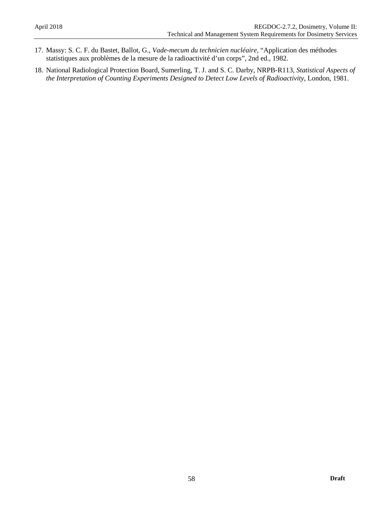- 17. Massy: S. C. F. du Bastet, Ballot, G., *Vade-mecum du technicien nucléaire,* "Application des méthodes statistiques aux problèmes de la mesure de la radioactivité d'un corps", 2nd ed., 1982.
- 18. National Radiological Protection Board, Sumerling, T. J. and S. C. Darby, NRPB-R113, *Statistical Aspects of the Interpretation of Counting Experiments Designed to Detect Low Levels of Radioactivity*, London, 1981.